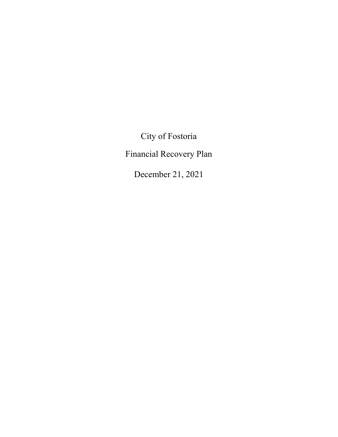City of Fostoria

Financial Recovery Plan

December 21, 2021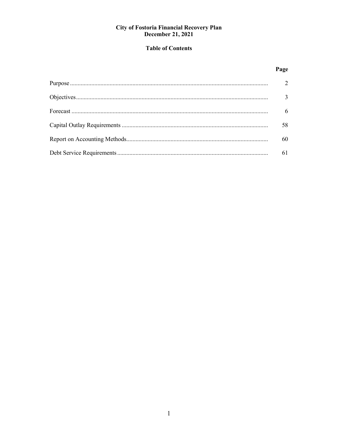# **Table of Contents**

# Page

| $\overline{3}$  |
|-----------------|
| $6\overline{6}$ |
| 58              |
| 60              |
| 61              |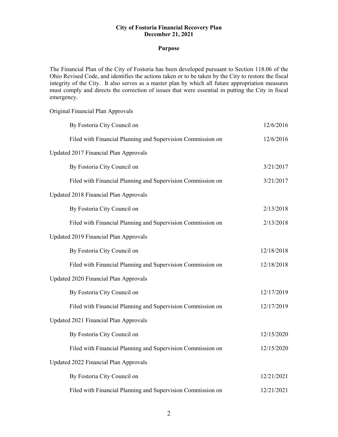### **Purpose**

The Financial Plan of the City of Fostoria has been developed pursuant to Section 118.06 of the Ohio Revised Code, and identifies the actions taken or to be taken by the City to restore the fiscal integrity of the City. It also serves as a master plan by which all future appropriation measures must comply and directs the correction of issues that were essential in putting the City in fiscal emergency.

| Original Financial Plan Approvals                           |            |
|-------------------------------------------------------------|------------|
| By Fostoria City Council on                                 | 12/6/2016  |
| Filed with Financial Planning and Supervision Commission on | 12/6/2016  |
| Updated 2017 Financial Plan Approvals                       |            |
| By Fostoria City Council on                                 | 3/21/2017  |
| Filed with Financial Planning and Supervision Commission on | 3/21/2017  |
| Updated 2018 Financial Plan Approvals                       |            |
| By Fostoria City Council on                                 | 2/13/2018  |
| Filed with Financial Planning and Supervision Commission on | 2/13/2018  |
| Updated 2019 Financial Plan Approvals                       |            |
| By Fostoria City Council on                                 | 12/18/2018 |
| Filed with Financial Planning and Supervision Commission on | 12/18/2018 |
| Updated 2020 Financial Plan Approvals                       |            |
| By Fostoria City Council on                                 | 12/17/2019 |
| Filed with Financial Planning and Supervision Commission on | 12/17/2019 |
| Updated 2021 Financial Plan Approvals                       |            |
| By Fostoria City Council on                                 | 12/15/2020 |
| Filed with Financial Planning and Supervision Commission on | 12/15/2020 |
| Updated 2022 Financial Plan Approvals                       |            |
| By Fostoria City Council on                                 | 12/21/2021 |
| Filed with Financial Planning and Supervision Commission on | 12/21/2021 |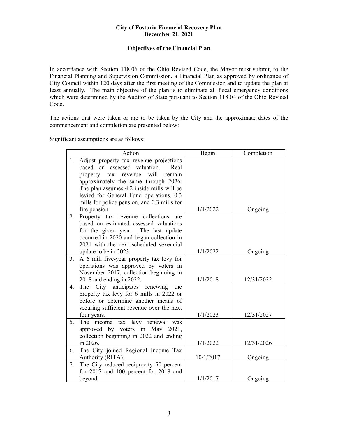# **Objectives of the Financial Plan**

In accordance with Section 118.06 of the Ohio Revised Code, the Mayor must submit, to the Financial Planning and Supervision Commission, a Financial Plan as approved by ordinance of City Council within 120 days after the first meeting of the Commission and to update the plan at least annually. The main objective of the plan is to eliminate all fiscal emergency conditions which were determined by the Auditor of State pursuant to Section 118.04 of the Ohio Revised Code.

The actions that were taken or are to be taken by the City and the approximate dates of the commencement and completion are presented below:

Significant assumptions are as follows:

|    | Action                                        | Begin     | Completion |
|----|-----------------------------------------------|-----------|------------|
| 1. | Adjust property tax revenue projections       |           |            |
|    | based on assessed valuation.<br>Real          |           |            |
|    | will<br>tax<br>remain<br>property<br>revenue  |           |            |
|    | approximately the same through 2026.          |           |            |
|    | The plan assumes 4.2 inside mills will be     |           |            |
|    | levied for General Fund operations, 0.3       |           |            |
|    | mills for police pension, and 0.3 mills for   |           |            |
|    | fire pension.                                 | 1/1/2022  | Ongoing    |
| 2. | Property tax revenue collections are          |           |            |
|    | based on estimated assessed valuations        |           |            |
|    | for the given year. The last update           |           |            |
|    | occurred in 2020 and began collection in      |           |            |
|    | 2021 with the next scheduled sexennial        |           |            |
|    | update to be in 2023.                         | 1/1/2022  | Ongoing    |
| 3. | A 6 mill five-year property tax levy for      |           |            |
|    | operations was approved by voters in          |           |            |
|    | November 2017, collection beginning in        |           |            |
|    | 2018 and ending in 2022.                      | 1/1/2018  | 12/31/2022 |
| 4. | The<br>anticipates<br>renewing<br>City<br>the |           |            |
|    | property tax levy for 6 mills in 2022 or      |           |            |
|    | before or determine another means of          |           |            |
|    | securing sufficient revenue over the next     |           |            |
|    | four years.                                   | 1/1/2023  | 12/31/2027 |
| 5. | tax levy renewal<br>The income<br>was         |           |            |
|    | approved by voters in May 2021,               |           |            |
|    | collection beginning in 2022 and ending       |           |            |
|    | in 2026.                                      | 1/1/2022  | 12/31/2026 |
| 6. | The City joined Regional Income Tax           |           |            |
|    | Authority (RITA).                             | 10/1/2017 | Ongoing    |
| 7. | The City reduced reciprocity 50 percent       |           |            |
|    | for 2017 and 100 percent for 2018 and         |           |            |
|    | beyond.                                       | 1/1/2017  | Ongoing    |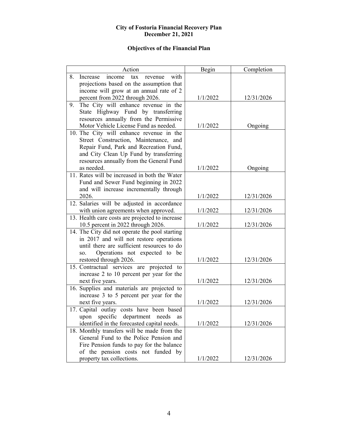# **Objectives of the Financial Plan**

| Action                                                                                                                                                                                                                                                                                                                                                                                                                                                                                                                                                                                                                                                                                                                                                                                                                                                                                                              | Begin                                                                            | Completion                                                                                     |
|---------------------------------------------------------------------------------------------------------------------------------------------------------------------------------------------------------------------------------------------------------------------------------------------------------------------------------------------------------------------------------------------------------------------------------------------------------------------------------------------------------------------------------------------------------------------------------------------------------------------------------------------------------------------------------------------------------------------------------------------------------------------------------------------------------------------------------------------------------------------------------------------------------------------|----------------------------------------------------------------------------------|------------------------------------------------------------------------------------------------|
| 8.<br>with<br>Increase<br>income<br>revenue<br>tax                                                                                                                                                                                                                                                                                                                                                                                                                                                                                                                                                                                                                                                                                                                                                                                                                                                                  |                                                                                  |                                                                                                |
| projections based on the assumption that                                                                                                                                                                                                                                                                                                                                                                                                                                                                                                                                                                                                                                                                                                                                                                                                                                                                            |                                                                                  |                                                                                                |
| income will grow at an annual rate of 2                                                                                                                                                                                                                                                                                                                                                                                                                                                                                                                                                                                                                                                                                                                                                                                                                                                                             |                                                                                  |                                                                                                |
| percent from 2022 through 2026.                                                                                                                                                                                                                                                                                                                                                                                                                                                                                                                                                                                                                                                                                                                                                                                                                                                                                     | 1/1/2022                                                                         | 12/31/2026                                                                                     |
| The City will enhance revenue in the<br>9.                                                                                                                                                                                                                                                                                                                                                                                                                                                                                                                                                                                                                                                                                                                                                                                                                                                                          |                                                                                  |                                                                                                |
| State Highway Fund by transferring                                                                                                                                                                                                                                                                                                                                                                                                                                                                                                                                                                                                                                                                                                                                                                                                                                                                                  |                                                                                  |                                                                                                |
| resources annually from the Permissive                                                                                                                                                                                                                                                                                                                                                                                                                                                                                                                                                                                                                                                                                                                                                                                                                                                                              |                                                                                  |                                                                                                |
| Motor Vehicle License Fund as needed.                                                                                                                                                                                                                                                                                                                                                                                                                                                                                                                                                                                                                                                                                                                                                                                                                                                                               | 1/1/2022                                                                         | Ongoing                                                                                        |
| 10. The City will enhance revenue in the                                                                                                                                                                                                                                                                                                                                                                                                                                                                                                                                                                                                                                                                                                                                                                                                                                                                            |                                                                                  |                                                                                                |
| Street Construction, Maintenance, and                                                                                                                                                                                                                                                                                                                                                                                                                                                                                                                                                                                                                                                                                                                                                                                                                                                                               |                                                                                  |                                                                                                |
| Repair Fund, Park and Recreation Fund,                                                                                                                                                                                                                                                                                                                                                                                                                                                                                                                                                                                                                                                                                                                                                                                                                                                                              |                                                                                  |                                                                                                |
| and City Clean Up Fund by transferring                                                                                                                                                                                                                                                                                                                                                                                                                                                                                                                                                                                                                                                                                                                                                                                                                                                                              |                                                                                  |                                                                                                |
| resources annually from the General Fund                                                                                                                                                                                                                                                                                                                                                                                                                                                                                                                                                                                                                                                                                                                                                                                                                                                                            |                                                                                  |                                                                                                |
| as needed.                                                                                                                                                                                                                                                                                                                                                                                                                                                                                                                                                                                                                                                                                                                                                                                                                                                                                                          | 1/1/2022                                                                         | Ongoing                                                                                        |
| 11. Rates will be increased in both the Water                                                                                                                                                                                                                                                                                                                                                                                                                                                                                                                                                                                                                                                                                                                                                                                                                                                                       |                                                                                  |                                                                                                |
| Fund and Sewer Fund beginning in 2022                                                                                                                                                                                                                                                                                                                                                                                                                                                                                                                                                                                                                                                                                                                                                                                                                                                                               |                                                                                  |                                                                                                |
| and will increase incrementally through                                                                                                                                                                                                                                                                                                                                                                                                                                                                                                                                                                                                                                                                                                                                                                                                                                                                             |                                                                                  |                                                                                                |
| 2026.                                                                                                                                                                                                                                                                                                                                                                                                                                                                                                                                                                                                                                                                                                                                                                                                                                                                                                               | 1/1/2022                                                                         | 12/31/2026                                                                                     |
| 12. Salaries will be adjusted in accordance                                                                                                                                                                                                                                                                                                                                                                                                                                                                                                                                                                                                                                                                                                                                                                                                                                                                         |                                                                                  |                                                                                                |
|                                                                                                                                                                                                                                                                                                                                                                                                                                                                                                                                                                                                                                                                                                                                                                                                                                                                                                                     |                                                                                  |                                                                                                |
|                                                                                                                                                                                                                                                                                                                                                                                                                                                                                                                                                                                                                                                                                                                                                                                                                                                                                                                     |                                                                                  |                                                                                                |
|                                                                                                                                                                                                                                                                                                                                                                                                                                                                                                                                                                                                                                                                                                                                                                                                                                                                                                                     |                                                                                  |                                                                                                |
|                                                                                                                                                                                                                                                                                                                                                                                                                                                                                                                                                                                                                                                                                                                                                                                                                                                                                                                     |                                                                                  |                                                                                                |
|                                                                                                                                                                                                                                                                                                                                                                                                                                                                                                                                                                                                                                                                                                                                                                                                                                                                                                                     |                                                                                  |                                                                                                |
|                                                                                                                                                                                                                                                                                                                                                                                                                                                                                                                                                                                                                                                                                                                                                                                                                                                                                                                     |                                                                                  |                                                                                                |
|                                                                                                                                                                                                                                                                                                                                                                                                                                                                                                                                                                                                                                                                                                                                                                                                                                                                                                                     |                                                                                  |                                                                                                |
|                                                                                                                                                                                                                                                                                                                                                                                                                                                                                                                                                                                                                                                                                                                                                                                                                                                                                                                     |                                                                                  |                                                                                                |
|                                                                                                                                                                                                                                                                                                                                                                                                                                                                                                                                                                                                                                                                                                                                                                                                                                                                                                                     |                                                                                  |                                                                                                |
|                                                                                                                                                                                                                                                                                                                                                                                                                                                                                                                                                                                                                                                                                                                                                                                                                                                                                                                     |                                                                                  |                                                                                                |
|                                                                                                                                                                                                                                                                                                                                                                                                                                                                                                                                                                                                                                                                                                                                                                                                                                                                                                                     |                                                                                  |                                                                                                |
|                                                                                                                                                                                                                                                                                                                                                                                                                                                                                                                                                                                                                                                                                                                                                                                                                                                                                                                     |                                                                                  |                                                                                                |
|                                                                                                                                                                                                                                                                                                                                                                                                                                                                                                                                                                                                                                                                                                                                                                                                                                                                                                                     |                                                                                  |                                                                                                |
|                                                                                                                                                                                                                                                                                                                                                                                                                                                                                                                                                                                                                                                                                                                                                                                                                                                                                                                     |                                                                                  |                                                                                                |
|                                                                                                                                                                                                                                                                                                                                                                                                                                                                                                                                                                                                                                                                                                                                                                                                                                                                                                                     |                                                                                  |                                                                                                |
|                                                                                                                                                                                                                                                                                                                                                                                                                                                                                                                                                                                                                                                                                                                                                                                                                                                                                                                     |                                                                                  |                                                                                                |
|                                                                                                                                                                                                                                                                                                                                                                                                                                                                                                                                                                                                                                                                                                                                                                                                                                                                                                                     |                                                                                  |                                                                                                |
|                                                                                                                                                                                                                                                                                                                                                                                                                                                                                                                                                                                                                                                                                                                                                                                                                                                                                                                     |                                                                                  |                                                                                                |
|                                                                                                                                                                                                                                                                                                                                                                                                                                                                                                                                                                                                                                                                                                                                                                                                                                                                                                                     |                                                                                  |                                                                                                |
|                                                                                                                                                                                                                                                                                                                                                                                                                                                                                                                                                                                                                                                                                                                                                                                                                                                                                                                     |                                                                                  |                                                                                                |
|                                                                                                                                                                                                                                                                                                                                                                                                                                                                                                                                                                                                                                                                                                                                                                                                                                                                                                                     |                                                                                  |                                                                                                |
|                                                                                                                                                                                                                                                                                                                                                                                                                                                                                                                                                                                                                                                                                                                                                                                                                                                                                                                     |                                                                                  |                                                                                                |
| with union agreements when approved.<br>13. Health care costs are projected to increase<br>10.5 percent in 2022 through 2026.<br>14. The City did not operate the pool starting<br>in 2017 and will not restore operations<br>until there are sufficient resources to do<br>Operations not expected to be<br>SO.<br>restored through 2026.<br>15. Contractual services are projected to<br>increase 2 to 10 percent per year for the<br>next five years.<br>16. Supplies and materials are projected to<br>increase 3 to 5 percent per year for the<br>next five years.<br>17. Capital outlay costs have been based<br>upon specific department needs<br>as<br>identified in the forecasted capital needs.<br>18. Monthly transfers will be made from the<br>General Fund to the Police Pension and<br>Fire Pension funds to pay for the balance<br>of the pension costs not funded by<br>property tax collections. | 1/1/2022<br>1/1/2022<br>1/1/2022<br>1/1/2022<br>1/1/2022<br>1/1/2022<br>1/1/2022 | 12/31/2026<br>12/31/2026<br>12/31/2026<br>12/31/2026<br>12/31/2026<br>12/31/2026<br>12/31/2026 |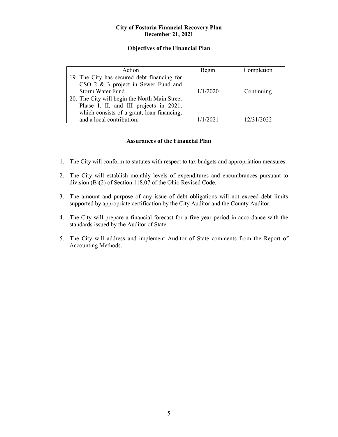# **Objectives of the Financial Plan**

| Action                                        | Begin    | Completion |
|-----------------------------------------------|----------|------------|
| 19. The City has secured debt financing for   |          |            |
| CSO 2 & 3 project in Sewer Fund and           |          |            |
| Storm Water Fund.                             | 1/1/2020 | Continuing |
| 20. The City will begin the North Main Street |          |            |
| Phase I, II, and III projects in 2021,        |          |            |
| which consists of a grant, loan financing,    |          |            |
| and a local contribution.                     | 1/1/2021 | 12/31/2022 |

# **Assurances of the Financial Plan**

- 1. The City will conform to statutes with respect to tax budgets and appropriation measures.
- 2. The City will establish monthly levels of expenditures and encumbrances pursuant to division (B)(2) of Section 118.07 of the Ohio Revised Code.
- 3. The amount and purpose of any issue of debt obligations will not exceed debt limits supported by appropriate certification by the City Auditor and the County Auditor.
- 4. The City will prepare a financial forecast for a five-year period in accordance with the standards issued by the Auditor of State.
- 5. The City will address and implement Auditor of State comments from the Report of Accounting Methods.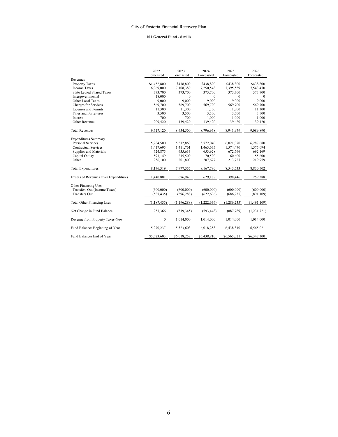#### **101 General Fund - 6 mills**

|                                      | 2022             | 2023          | 2024        | 2025        | 2026        |
|--------------------------------------|------------------|---------------|-------------|-------------|-------------|
|                                      | Forecasted       | Forecasted    | Forecasted  | Forecasted  | Forecasted  |
| Revenues                             |                  |               |             |             |             |
| <b>Property Taxes</b>                | \$1,452,800      | \$438,800     | \$438,800   | \$438,800   | \$438,800   |
| <b>Income Taxes</b>                  | 6,969,000        | 7,108,380     | 7,250,548   | 7,395,559   | 7,543,470   |
| <b>State Levied Shared Taxes</b>     | 373,700          | 373,700       | 373,700     | 373,700     | 373,700     |
| Intergovernmental                    | 18,000           | $\theta$      | $\theta$    | $\Omega$    | $\theta$    |
| Other Local Taxes                    | 9,000            | 9.000         | 9,000       | 9,000       | 9,000       |
| Charges for Services                 | 569,700          | 569,700       | 569,700     | 569,700     | 569,700     |
| Licenses and Permits                 | 11,300           | 11,300        | 11,300      | 11,300      | 11,300      |
| Fines and Forfeitures                | 3,500            | 3,500         | 3,500       | 3,500       | 3,500       |
| Interest                             | 700              | 700           | 1,000       | 1,000       | 1,000       |
| Other Revenue                        | 209,420          | 139,420       | 139,420     | 139,420     | 139,420     |
| <b>Total Revenues</b>                | 9,617,120        | 8,654,500     | 8,796,968   | 8,941,979   | 9,089,890   |
| <b>Expenditures Summary</b>          |                  |               |             |             |             |
| <b>Personal Services</b>             | 5,284,500        | 5,512,860     | 5,772,040   | 6,021,970   | 6,287,680   |
| Contractual Services                 | 1,417,695        | 1,411,761     | 1,463,635   | 1,574,470   | 1,575,094   |
| Supplies and Materials               | 624,875          | 635,633       | 653,928     | 672,766     | 692,169     |
| Capital Outlay                       | 593,149          | 215,500       | 70,500      | 60,600      | 55,600      |
| Other                                | 256,100          | 201,803       | 207,677     | 213,727     | 219,959     |
| <b>Total Expenditures</b>            | 8,176,319        | 7,977,557     | 8,167,780   | 8,543,533   | 8,830,502   |
| Excess of Revenues Over Expenditures | 1,440,801        | 676,943       | 629,188     | 398,446     | 259,388     |
| Other Financing Uses                 |                  |               |             |             |             |
| Transfers Out (Income Taxes)         | (600,000)        | (600,000)     | (600,000)   | (600,000)   | (600,000)   |
| <b>Transfers Out</b>                 | (587, 435)       | (596, 288)    | (622, 636)  | (686, 235)  | (891, 109)  |
|                                      |                  |               |             |             |             |
| <b>Total Other Financing Uses</b>    | (1, 187, 435)    | (1, 196, 288) | (1,222,636) | (1,286,235) | (1,491,109) |
| Net Change in Fund Balance           | 253,366          | (519, 345)    | (593, 448)  | (887,789)   | (1,231,721) |
| Revenue from Property Taxes-New      | $\boldsymbol{0}$ | 1,014,000     | 1,014,000   | 1,014,000   | 1,014,000   |
| Fund Balances Beginning of Year      | 5,270,237        | 5,523,603     | 6,018,258   | 6,438,810   | 6,565,021   |
| Fund Balances End of Year            | \$5,523,603      | \$6,018,258   | \$6,438,810 | \$6,565,021 | \$6,347,300 |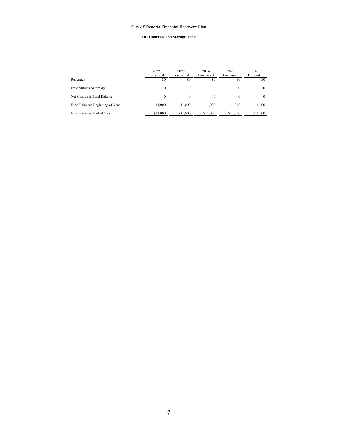#### **102 Underground Storage Tank**

|                                 | 2022<br>Forecasted | 2023<br>Forecasted | 2024<br>Forecasted | 2025<br>Forecasted | 2026<br>Forecasted |
|---------------------------------|--------------------|--------------------|--------------------|--------------------|--------------------|
| Revenues                        | \$0                | \$0                | \$0                | \$0                | \$0                |
| <b>Expenditures Summary</b>     |                    | ∩                  |                    |                    | $\Omega$           |
| Net Change in Fund Balance      | $\Omega$           | $\Omega$           | $\Omega$           | $\theta$           | $\theta$           |
| Fund Balances Beginning of Year | 11,000             | 11.000             | 11,000             | 11,000             | 11.000             |
| Fund Balances End of Year       | \$11,000           | \$11,000           | \$11,000           | \$11,000           | \$11,000           |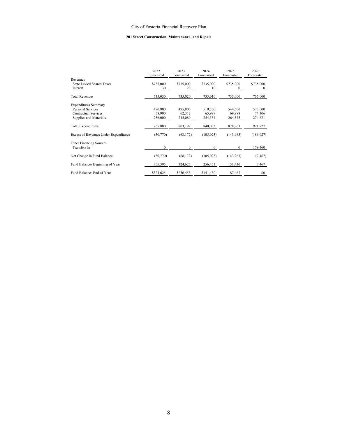#### **201 Street Construction, Maintenance, and Repair**

|                                              | 2022<br>Forecasted | 2023<br>Forecasted | 2024<br>Forecasted | 2025<br>Forecasted | 2026<br>Forecasted |
|----------------------------------------------|--------------------|--------------------|--------------------|--------------------|--------------------|
| Revenues                                     |                    |                    |                    |                    |                    |
| <b>State Levied Shared Taxes</b>             | \$735,000          | \$735,000          | \$735,000          | \$735,000          | \$735,000          |
| Interest                                     | 30                 | 20                 | 10                 | 0                  | 0                  |
| <b>Total Revenues</b>                        | 735,030            | 735,020            | 735,010            | 735,000            | 735,000            |
| <b>Expenditures Summary</b>                  |                    |                    |                    |                    |                    |
| Personal Services                            | 470,900            | 495,800            | 519,500            | 544,600            | 573,000            |
| Contractual Services                         | 58,900             | 62,312             | 65,999             | 69,988             | 74,306             |
| Supplies and Materials                       | 236,000            | 245,080            | 254,534            | 264,375            | 274,621            |
| <b>Total Expenditures</b>                    | 765,800            | 803,192            | 840,033            | 878,963            | 921,927            |
| <b>Excess of Revenues Under Expenditures</b> | (30,770)           | (68, 172)          | (105, 023)         | (143, 963)         | (186, 927)         |
| Other Financing Sources                      |                    |                    |                    |                    |                    |
| Transfers In                                 | $\mathbf{0}$       | $\mathbf{0}$       | $\mathbf{0}$       | $\mathbf{0}$       | 179,460            |
| Net Change in Fund Balance                   | (30,770)           | (68, 172)          | (105, 023)         | (143, 963)         | (7, 467)           |
| Fund Balances Beginning of Year              | 355,395            | 324,625            | 256,453            | 151,430            | 7,467              |
| Fund Balances End of Year                    | \$324,625          | \$256,453          | \$151,430          | \$7,467            | \$0                |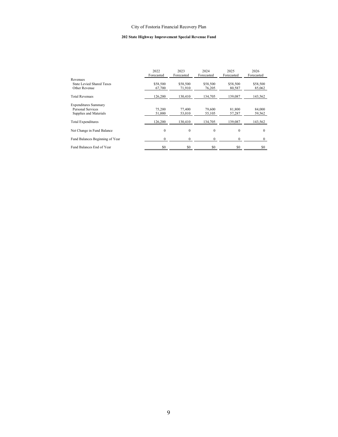#### **202 State Highway Improvement Special Revenue Fund**

|                                       | 2022<br>Forecasted | 2023<br>Forecasted | 2024<br>Forecasted | 2025<br>Forecasted | 2026<br>Forecasted |
|---------------------------------------|--------------------|--------------------|--------------------|--------------------|--------------------|
| Revenues<br>State Levied Shared Taxes | \$58,500           | \$58,500           | \$58,500           | \$58,500           | \$58,500           |
| Other Revenue                         | 67,700             | 71,910             | 76,205             | 80,587             | 85,062             |
| <b>Total Revenues</b>                 | 126,200            | 130.410            | 134,705            | 139,087            | 143,562            |
| <b>Expenditures Summary</b>           |                    |                    |                    |                    |                    |
| Personal Services                     | 75,200             | 77,400             | 79,600             | 81,800             | 84,000             |
| Supplies and Materials                | 51,000             | 53,010             | 55,105             | 57,287             | 59,562             |
| <b>Total Expenditures</b>             | 126,200            | 130.410            | 134,705            | 139,087            | 143,562            |
| Net Change in Fund Balance            | $\mathbf{0}$       | $\mathbf{0}$       | $\mathbf{0}$       | $\mathbf{0}$       | $\Omega$           |
| Fund Balances Beginning of Year       | $\mathbf{0}$       | $\Omega$           | $\mathbf{0}$       | $\mathbf{0}$       | $\Omega$           |
| Fund Balances End of Year             | \$0                | \$0                | \$0                | \$0                | \$0                |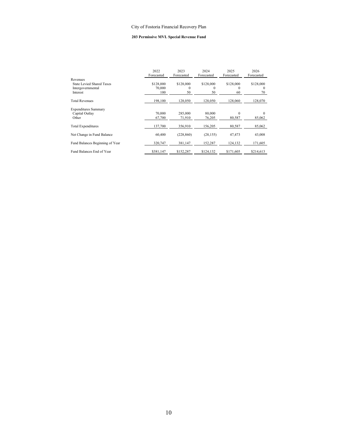#### **203 Permissive MVL Special Revenue Fund**

|                                 | 2022<br>Forecasted  | 2023<br>Forecasted | 2024<br>Forecasted    | 2025<br>Forecasted | 2026<br>Forecasted    |
|---------------------------------|---------------------|--------------------|-----------------------|--------------------|-----------------------|
| Revenues                        |                     |                    |                       |                    |                       |
| State Levied Shared Taxes       | \$128,000<br>70,000 | \$128,000<br>0     | \$128,000<br>$\theta$ | \$128,000<br>0     | \$128,000<br>$\Omega$ |
| Intergovernmental<br>Interest   | 100                 | 50                 | 50                    | 60                 | 70                    |
|                                 |                     |                    |                       |                    |                       |
| <b>Total Revenues</b>           | 198,100             | 128,050            | 128,050               | 128,060            | 128,070               |
| <b>Expenditures Summary</b>     |                     |                    |                       |                    |                       |
| Capital Outlay                  | 70,000              | 285,000            | 80,000                | $\Omega$           | $\Omega$              |
| Other                           | 67,700              | 71,910             | 76,205                | 80,587             | 85,062                |
| <b>Total Expenditures</b>       | 137,700             | 356,910            | 156,205               | 80,587             | 85,062                |
| Net Change in Fund Balance      | 60,400              | (228, 860)         | (28, 155)             | 47,473             | 43,008                |
| Fund Balances Beginning of Year | 320,747             | 381,147            | 152,287               | 124,132            | 171,605               |
| Fund Balances End of Year       | \$381,147           | \$152.287          | \$124.132             | \$171,605          | \$214,613             |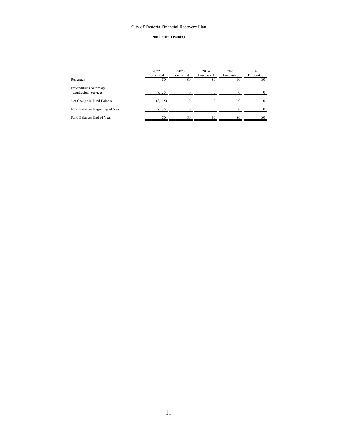#### **206 Police Training**

|                                                     | 2022<br>Forecasted | 2023<br>Forecasted | 2024<br>Forecasted | 2025<br>Forecasted | 2026<br>Forecasted |
|-----------------------------------------------------|--------------------|--------------------|--------------------|--------------------|--------------------|
| Revenues                                            | \$0                | \$0                | \$0                | \$0                | \$0                |
| <b>Expenditures Summary</b><br>Contractual Services | 8,135              |                    |                    |                    | $^{\circ}$         |
| Net Change in Fund Balance                          | (8, 135)           | $\Omega$           |                    |                    | $\Omega$           |
| Fund Balances Beginning of Year                     | 8,135              | 0                  |                    |                    | 0                  |
| Fund Balances End of Year                           | \$0                | ፍሰ                 | \$0                | \$0                | \$0                |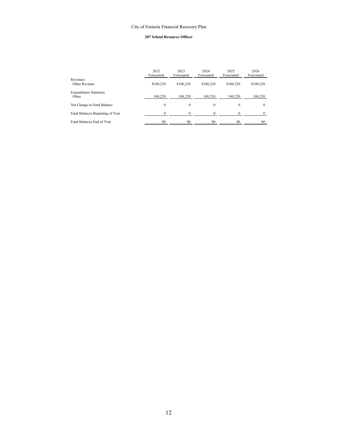#### **207 School Resource Officer**

|                                      | 2022<br>Forecasted | 2023<br>Forecasted | 2024<br>Forecasted | 2025<br>Forecasted | 2026<br>Forecasted |
|--------------------------------------|--------------------|--------------------|--------------------|--------------------|--------------------|
| Revenues<br>Other Revenue            | \$100,220          | \$100,220          | \$100,220          | \$100,220          | \$100,220          |
| <b>Expenditures Summary</b><br>Other | 100.220            | 100.220            | 100.220            | 100.220            | 100,220            |
| Net Change in Fund Balance           | $\Omega$           | $\Omega$           | $\mathbf{0}$       | $\Omega$           | $\Omega$           |
| Fund Balances Beginning of Year      | $\Omega$           |                    |                    | 0                  |                    |
| Fund Balances End of Year            | \$0                | \$0                | \$0                | \$0                | \$0                |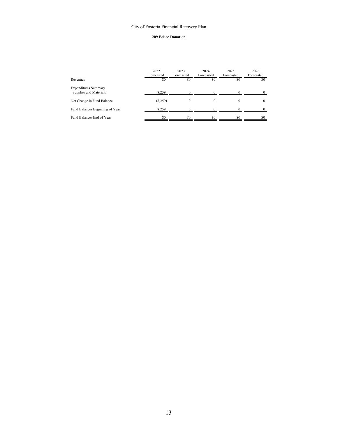#### **209 Police Donation**

|                                                       | 2022<br>Forecasted | 2023<br>Forecasted | 2024<br>Forecasted | 2025<br>Forecasted | 2026<br>Forecasted |
|-------------------------------------------------------|--------------------|--------------------|--------------------|--------------------|--------------------|
| Revenues                                              | \$0                | \$0                | \$0                | \$0                | \$0                |
| <b>Expenditures Summary</b><br>Supplies and Materials | 8,259              |                    |                    |                    | $^{\circ}$         |
| Net Change in Fund Balance                            | (8,259)            | $\Omega$           |                    |                    | $\Omega$           |
| Fund Balances Beginning of Year                       | 8,259              | $\Omega$           |                    |                    | 0                  |
| Fund Balances End of Year                             | \$0                | ፍሰ                 | \$0                | \$0                | \$0                |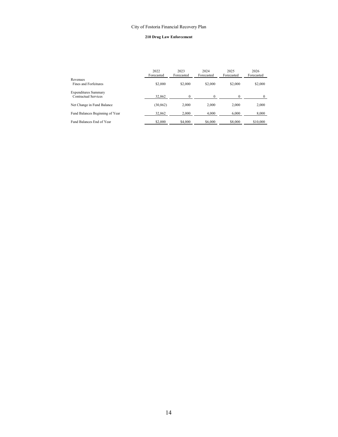#### **210 Drug Law Enforcement**

|                                                     | 2022<br>Forecasted | 2023<br>Forecasted | 2024<br>Forecasted | 2025<br>Forecasted | 2026<br>Forecasted |
|-----------------------------------------------------|--------------------|--------------------|--------------------|--------------------|--------------------|
| Revenues<br>Fines and Forfeitures                   | \$2,000            | \$2,000            | \$2,000            | \$2,000            | \$2,000            |
| <b>Expenditures Summary</b><br>Contractual Services | 32,862             |                    |                    |                    |                    |
| Net Change in Fund Balance                          | (30, 862)          | 2,000              | 2.000              | 2,000              | 2,000              |
| Fund Balances Beginning of Year                     | 32,862             | 2.000              | 4.000              | 6.000              | 8,000              |
| Fund Balances End of Year                           | \$2,000            | \$4,000            | \$6,000            | \$8,000            | \$10,000           |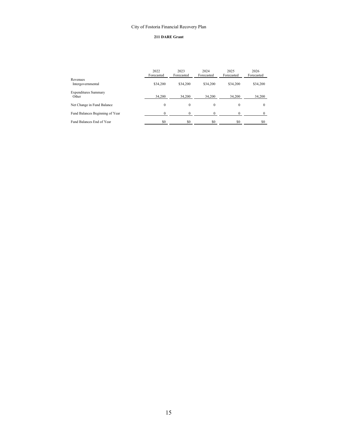#### **211 DARE Grant**

|                                      | 2022<br>Forecasted | 2023<br>Forecasted | 2024<br>Forecasted | 2025<br>Forecasted | 2026<br>Forecasted |
|--------------------------------------|--------------------|--------------------|--------------------|--------------------|--------------------|
| Revenues<br>Intergovernmental        | \$34,200           | \$34,200           | \$34,200           | \$34,200           | \$34,200           |
| <b>Expenditures Summary</b><br>Other | 34,200             | 34,200             | 34,200             | 34,200             | 34,200             |
| Net Change in Fund Balance           | $\Omega$           | $\theta$           | $\Omega$           | $\Omega$           | $\theta$           |
| Fund Balances Beginning of Year      | $\theta$           | $\Omega$           |                    |                    |                    |
| Fund Balances End of Year            | \$0                | \$0                | \$0                | \$0                | SO.                |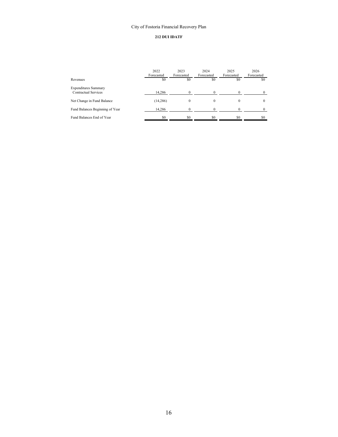# **212 DUI IDATF**

|                                                     | 2022<br>Forecasted | 2023<br>Forecasted | 2024<br>Forecasted | 2025<br>Forecasted | 2026<br>Forecasted |
|-----------------------------------------------------|--------------------|--------------------|--------------------|--------------------|--------------------|
| Revenues                                            | \$0                | \$0                | \$0                | \$0                | \$0                |
| <b>Expenditures Summary</b><br>Contractual Services | 14,286             | 0                  |                    |                    | $^{\circ}$         |
| Net Change in Fund Balance                          | (14, 286)          | $\Omega$           |                    |                    | $\Omega$           |
| Fund Balances Beginning of Year                     | 14,286             | $\Omega$           |                    |                    | $^{\circ}$         |
| Fund Balances End of Year                           | \$0                | \$0                | \$0                | \$0                | \$0                |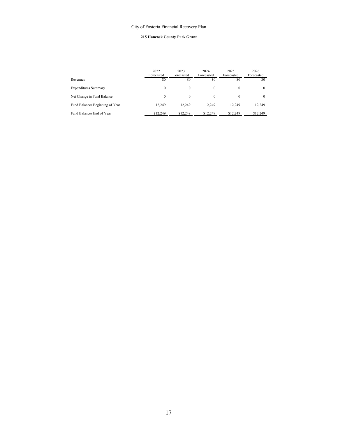#### **215 Hancock County Park Grant**

|                                 | 2022<br>Forecasted | 2023<br>Forecasted | 2024<br>Forecasted | 2025<br>Forecasted | 2026<br>Forecasted |
|---------------------------------|--------------------|--------------------|--------------------|--------------------|--------------------|
| Revenues                        | \$0                | \$0                | \$0                | \$0                | \$0                |
| <b>Expenditures Summary</b>     |                    |                    |                    |                    | $\Omega$           |
| Net Change in Fund Balance      | $\Omega$           | $\Omega$           | $\theta$           | $\theta$           | $\theta$           |
| Fund Balances Beginning of Year | 12.249             | 12.249             | 12.249             | 12.249             | 12.249             |
| Fund Balances End of Year       | \$12,249           | \$12,249           | \$12,249           | \$12,249           | \$12,249           |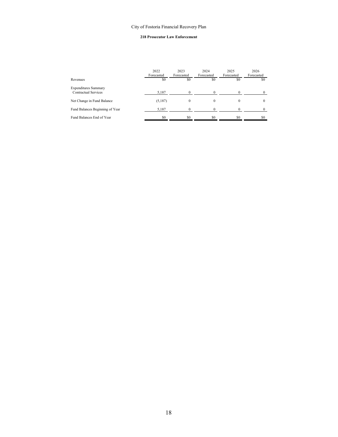#### **218 Prosecutor Law Enforcement**

|                                                     | 2022<br>Forecasted | 2023<br>Forecasted | 2024<br>Forecasted | 2025<br>Forecasted | 2026<br>Forecasted |
|-----------------------------------------------------|--------------------|--------------------|--------------------|--------------------|--------------------|
| Revenues                                            | \$0                | \$0                | \$0                | \$0                | \$0                |
| <b>Expenditures Summary</b><br>Contractual Services | 5,187              |                    |                    |                    | $^{\circ}$         |
| Net Change in Fund Balance                          | (5,187)            | $\Omega$           |                    |                    | $\Omega$           |
| Fund Balances Beginning of Year                     | 5,187              |                    |                    |                    | 0                  |
| Fund Balances End of Year                           | \$0                | \$0                | \$0                | \$0                | \$0                |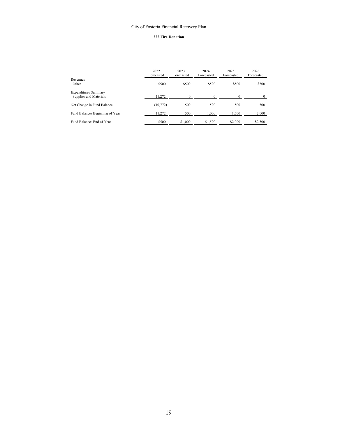#### **222 Fire Donation**

|                                                       | 2022<br>Forecasted | 2023<br>Forecasted | 2024<br>Forecasted | 2025<br>Forecasted | 2026<br>Forecasted |
|-------------------------------------------------------|--------------------|--------------------|--------------------|--------------------|--------------------|
| Revenues<br>Other                                     | \$500              | \$500              | \$500              | \$500              | \$500              |
| <b>Expenditures Summary</b><br>Supplies and Materials | 11.272             | 0                  |                    | 0                  | $\theta$           |
| Net Change in Fund Balance                            | (10,772)           | 500                | 500                | 500                | 500                |
| Fund Balances Beginning of Year                       | 11,272             | 500                | 1,000              | 1,500              | 2,000              |
| Fund Balances End of Year                             | \$500              | \$1,000            | \$1,500            | \$2,000            | \$2,500            |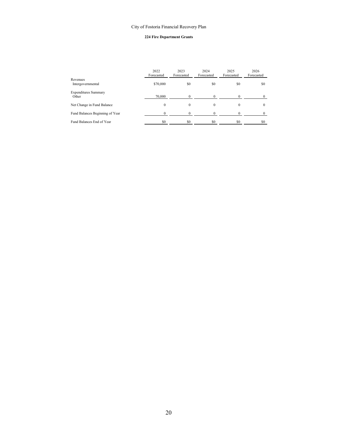#### **224 Fire Department Grants**

|                                      | 2022<br>Forecasted | 2023<br>Forecasted | 2024<br>Forecasted | 2025<br>Forecasted | 2026<br>Forecasted |
|--------------------------------------|--------------------|--------------------|--------------------|--------------------|--------------------|
| Revenues<br>Intergovernmental        | \$70,000           | \$0                | \$0                | \$0                | \$0                |
| <b>Expenditures Summary</b><br>Other | 70,000             |                    |                    |                    |                    |
| Net Change in Fund Balance           | $\Omega$           | $\Omega$           | $\Omega$           | $\Omega$           |                    |
| Fund Balances Beginning of Year      | $\Omega$           |                    |                    | $\Omega$           |                    |
| Fund Balances End of Year            | \$0                | \$0                | \$0                | \$0                | \$0                |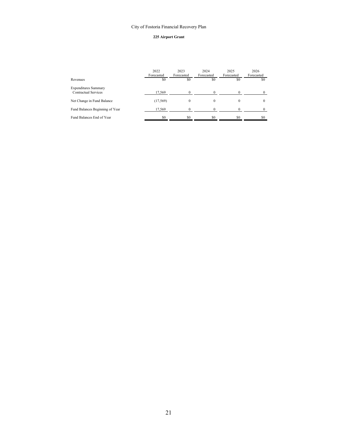#### **225 Airport Grant**

|                                                     | 2022<br>Forecasted | 2023<br>Forecasted | 2024<br>Forecasted | 2025<br>Forecasted | 2026<br>Forecasted |
|-----------------------------------------------------|--------------------|--------------------|--------------------|--------------------|--------------------|
| Revenues                                            | \$0                | \$0                | \$0                | \$0                | SO.                |
| <b>Expenditures Summary</b><br>Contractual Services | 17,569             | $\theta$           |                    |                    |                    |
| Net Change in Fund Balance                          | (17, 569)          | $\theta$           | 0                  | $^{(1)}$           | $\theta$           |
| Fund Balances Beginning of Year                     | 17,569             | $\Omega$           |                    |                    |                    |
| Fund Balances End of Year                           | \$0                | ፍሰ                 | \$0                | \$0                | \$0                |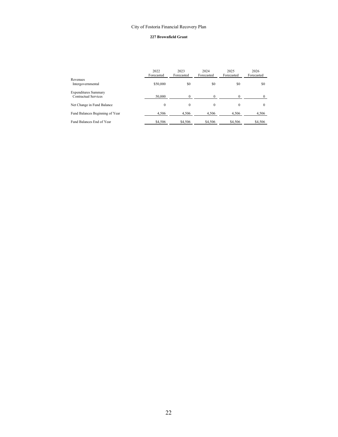#### **227 Brownfield Grant**

|                                                     | 2022<br>Forecasted | 2023<br>Forecasted | 2024<br>Forecasted | 2025<br>Forecasted | 2026<br>Forecasted |
|-----------------------------------------------------|--------------------|--------------------|--------------------|--------------------|--------------------|
| Revenues<br>Intergovernmental                       | \$50,000           | \$0                | \$0                | \$0                | \$0                |
| <b>Expenditures Summary</b><br>Contractual Services | 50,000             |                    |                    |                    |                    |
| Net Change in Fund Balance                          | $\bf{0}$           | $\theta$           | $\Omega$           | $\mathbf{0}$       | $\theta$           |
| Fund Balances Beginning of Year                     | 4,506              | 4,506              | 4,506              | 4,506              | 4,506              |
| Fund Balances End of Year                           | \$4,506            | \$4,506            | \$4,506            | \$4,506            | \$4,506            |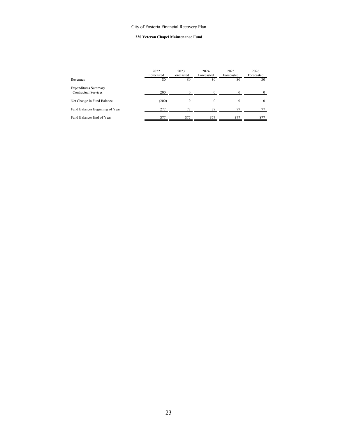#### **230 Veteran Chapel Maintenance Fund**

|                                                     | 2022<br>Forecasted | 2023<br>Forecasted | 2024<br>Forecasted | 2025<br>Forecasted | 2026<br>Forecasted |
|-----------------------------------------------------|--------------------|--------------------|--------------------|--------------------|--------------------|
| Revenues                                            | \$0                | \$0                | \$0                | \$0                | \$0                |
| <b>Expenditures Summary</b><br>Contractual Services | 200                | 0                  |                    | $\Omega$           | $\Omega$           |
| Net Change in Fund Balance                          | (200)              | $\Omega$           | $\Omega$           | $\theta$           | $\Omega$           |
| Fund Balances Beginning of Year                     | 277                | 77                 | 77                 | 77                 | 77                 |
| Fund Balances End of Year                           |                    | \$77               | \$77               | \$77               | \$77               |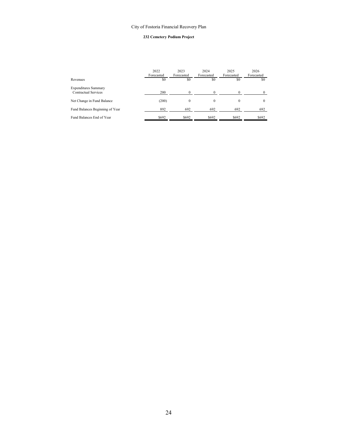#### **232 Cemetery Podium Project**

|                                                     | 2022<br>Forecasted | 2023<br>Forecasted | 2024<br>Forecasted | 2025<br>Forecasted | 2026<br>Forecasted |
|-----------------------------------------------------|--------------------|--------------------|--------------------|--------------------|--------------------|
| Revenues                                            | \$0                | \$0                | \$0                | \$0                | \$0                |
| <b>Expenditures Summary</b><br>Contractual Services | 200                |                    |                    |                    | $\theta$           |
| Net Change in Fund Balance                          | (200)              | $\Omega$           | $\Omega$           | $\theta$           | $\theta$           |
| Fund Balances Beginning of Year                     | 892                | 692                | 692                | 692                | 692                |
| Fund Balances End of Year                           | \$692              | \$692              | \$692              | \$692              | \$692              |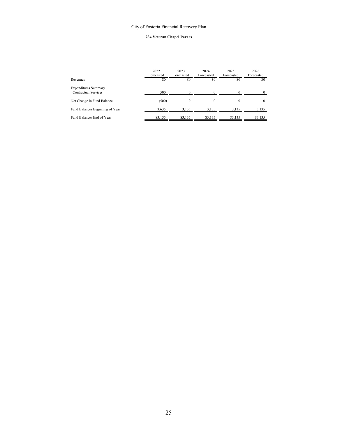#### **234 Veteran Chapel Pavers**

|                                                     | 2022<br>Forecasted | 2023<br>Forecasted | 2024<br>Forecasted | 2025<br>Forecasted | 2026<br>Forecasted |
|-----------------------------------------------------|--------------------|--------------------|--------------------|--------------------|--------------------|
| Revenues                                            | \$0                | \$0                | \$0                | \$0                | \$0                |
| <b>Expenditures Summary</b><br>Contractual Services | 500                | $\Omega$           |                    | $\Omega$           | $\Omega$           |
| Net Change in Fund Balance                          | (500)              | $\Omega$           | $\theta$           | $\theta$           | $\mathbf{0}$       |
| Fund Balances Beginning of Year                     | 3,635              | 3,135              | 3,135              | 3,135              | 3,135              |
| Fund Balances End of Year                           | \$3,135            | \$3,135            | \$3,135            | \$3,135            | \$3,135            |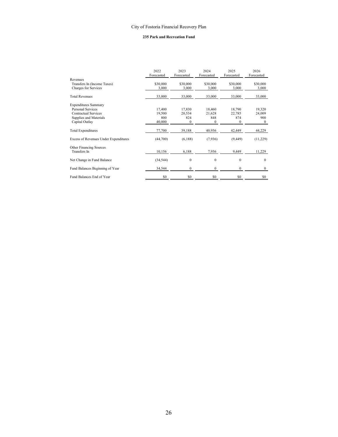#### **235 Park and Recreation Fund**

|                                       | 2022<br>Forecasted | 2023<br>Forecasted | 2024<br>Forecasted | 2025<br>Forecasted | 2026<br>Forecasted |
|---------------------------------------|--------------------|--------------------|--------------------|--------------------|--------------------|
| Revenues                              |                    |                    |                    |                    |                    |
| Transfers In (Income Taxes)           | \$30,000           | \$30,000           | \$30,000           | \$30,000           | \$30,000           |
| Charges for Services                  | 3,000              | 3,000              | 3,000              | 3,000              | 3,000              |
| <b>Total Revenues</b>                 | 33,000             | 33,000             | 33,000             | 33,000             | 33,000             |
| <b>Expenditures Summary</b>           |                    |                    |                    |                    |                    |
| Personal Services                     | 17,400             | 17,830             | 18,460             | 18,790             | 19,320             |
| Contractual Services                  | 19,500             | 20,534             | 21,628             | 22,785             | 24,009             |
| Supplies and Materials                | 800                | 824                | 848                | 874                | 900                |
| Capital Outlay                        | 40,000             | $\mathbf{0}$       | $\theta$           | $\mathbf{0}$       | $\mathbf{0}$       |
| <b>Total Expenditures</b>             | 77,700             | 39,188             | 40,936             | 42,449             | 44,229             |
| Excess of Revenues Under Expenditures | (44,700)           | (6,188)            | (7,936)            | (9, 449)           | (11,229)           |
| Other Financing Sources               |                    |                    |                    |                    |                    |
| Transfers In                          | 10,156             | 6,188              | 7,936              | 9,449              | 11,229             |
| Net Change in Fund Balance            | (34, 544)          | $\mathbf{0}$       | $\Omega$           | $\mathbf{0}$       | $\theta$           |
| Fund Balances Beginning of Year       | 34,544             | $\mathbf{0}$       | $\mathbf{0}$       | $\mathbf{0}$       | $\mathbf{0}$       |
| Fund Balances End of Year             | \$0                | \$0                | \$0                | \$0                | \$0                |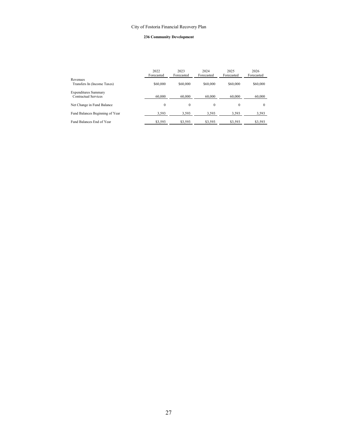#### **236 Community Development**

|                                                     | 2022<br>Forecasted | 2023<br>Forecasted | 2024<br>Forecasted | 2025<br>Forecasted | 2026<br>Forecasted |
|-----------------------------------------------------|--------------------|--------------------|--------------------|--------------------|--------------------|
| Revenues<br>Transfers In (Income Taxes)             | \$60,000           | \$60,000           | \$60,000           | \$60,000           | \$60,000           |
| <b>Expenditures Summary</b><br>Contractual Services | 60,000             | 60,000             | 60,000             | 60,000             | 60,000             |
| Net Change in Fund Balance                          | $\mathbf{0}$       | $\mathbf{0}$       | $\Omega$           | $\mathbf{0}$       | $\Omega$           |
| Fund Balances Beginning of Year                     | 3,593              | 3,593              | 3,593              | 3,593              | 3,593              |
| Fund Balances End of Year                           | \$3,593            | \$3,593            | \$3,593            | \$3,593            | \$3,593            |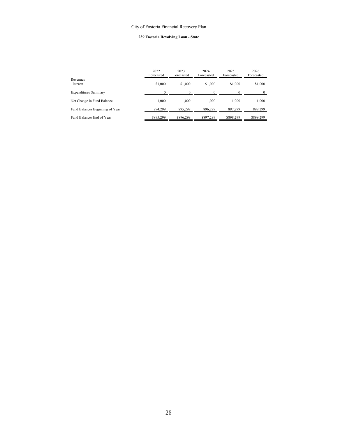#### **239 Fostoria Revolving Loan - State**

|                                 | 2022<br>Forecasted | 2023<br>Forecasted | 2024<br>Forecasted | 2025<br>Forecasted | 2026<br>Forecasted |
|---------------------------------|--------------------|--------------------|--------------------|--------------------|--------------------|
| Revenues<br>Interest            | \$1,000            | \$1,000            | \$1,000            | \$1,000            | \$1,000            |
| <b>Expenditures Summary</b>     | $\Omega$           | $\Omega$           | $\theta$           | 0                  | 0                  |
| Net Change in Fund Balance      | 1.000              | 1.000              | 1.000              | 1.000              | 1,000              |
| Fund Balances Beginning of Year | 894,299            | 895.299            | 896.299            | 897,299            | 898,299            |
| Fund Balances End of Year       | \$895,299          | \$896.299          | \$897.299          | \$898,299          | \$899,299          |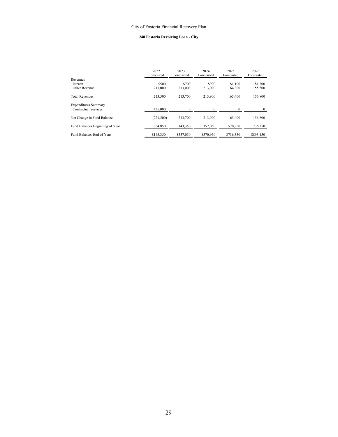#### **240 Fostoria Revolving Loan - City**

|                                                     | 2022<br>Forecasted | 2023<br>Forecasted | 2024<br>Forecasted | 2025<br>Forecasted | 2026<br>Forecasted |
|-----------------------------------------------------|--------------------|--------------------|--------------------|--------------------|--------------------|
| Revenues<br>Interest<br>Other Revenue               | \$500<br>213,000   | \$700<br>213,000   | \$900<br>213,000   | \$1,100<br>164,300 | \$1,300<br>155,500 |
| <b>Total Revenues</b>                               | 213,500            | 213,700            | 213,900            | 165,400            | 156,800            |
| <b>Expenditures Summary</b><br>Contractual Services | 435,000            | $\Omega$           | $\Omega$           | 0                  | $\theta$           |
| Net Change in Fund Balance                          | (221, 500)         | 213,700            | 213,900            | 165,400            | 156,800            |
| Fund Balances Beginning of Year                     | 364,850            | 143,350            | 357,050            | 570,950            | 736,350            |
| Fund Balances End of Year                           | \$143,350          | \$357,050          | \$570,950          | \$736,350          | \$893,150          |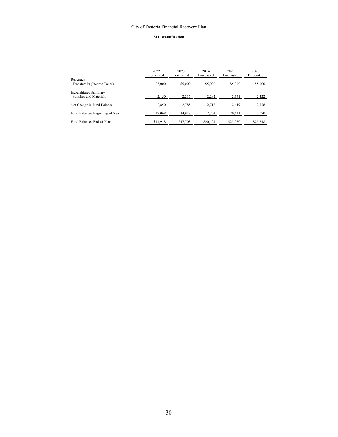#### **241 Beautification**

|                                                       | 2022<br>Forecasted | 2023<br>Forecasted | 2024<br>Forecasted | 2025<br>Forecasted | 2026<br>Forecasted |
|-------------------------------------------------------|--------------------|--------------------|--------------------|--------------------|--------------------|
| Revenues<br>Transfers In (Income Taxes)               | \$5,000            | \$5,000            | \$5,000            | \$5,000            | \$5,000            |
| <b>Expenditures Summary</b><br>Supplies and Materials | 2,150              | 2,215              | 2,282              | 2,351              | 2,422              |
| Net Change in Fund Balance                            | 2,850              | 2,785              | 2.718              | 2,649              | 2,578              |
| Fund Balances Beginning of Year                       | 12,068             | 14.918             | 17.703             | 20,421             | 23,070             |
| Fund Balances End of Year                             | \$14,918           | \$17,703           | \$20,421           | \$23,070           | \$25,648           |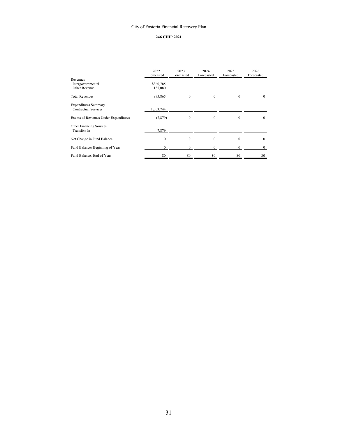#### **246 CHIP 2021**

|                                                     | 2022<br>Forecasted   | 2023<br>Forecasted | 2024<br>Forecasted | 2025<br>Forecasted | 2026<br>Forecasted |
|-----------------------------------------------------|----------------------|--------------------|--------------------|--------------------|--------------------|
| Revenues<br>Intergovernmental<br>Other Revenue      | \$860,785<br>135,080 |                    |                    |                    |                    |
| <b>Total Revenues</b>                               | 995,865              | $\mathbf{0}$       | $\Omega$           | $\mathbf{0}$       | $\mathbf{0}$       |
| <b>Expenditures Summary</b><br>Contractual Services | 1,003,744            |                    |                    |                    |                    |
| Excess of Revenues Under Expenditures               | (7, 879)             | $\Omega$           | $\Omega$           | $\Omega$           | $\mathbf{0}$       |
| Other Financing Sources<br>Transfers In             | 7,879                |                    |                    |                    |                    |
| Net Change in Fund Balance                          | $\Omega$             | $\theta$           | $\Omega$           | $\Omega$           | $\mathbf{0}$       |
| Fund Balances Beginning of Year                     | $\mathbf{0}$         | $\mathbf{0}$       | 0                  | $\mathbf{0}$       | $\mathbf{0}$       |
| Fund Balances End of Year                           | \$0                  | \$0                | \$0                | \$0                | \$0                |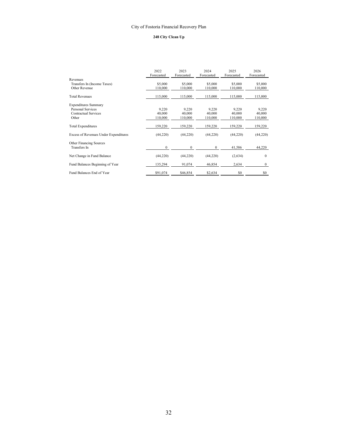#### **248 City Clean Up**

|                                              | 2022<br>Forecasted | 2023<br>Forecasted | 2024<br>Forecasted | 2025<br>Forecasted | 2026<br>Forecasted |
|----------------------------------------------|--------------------|--------------------|--------------------|--------------------|--------------------|
| Revenues                                     |                    |                    |                    |                    |                    |
| Transfers In (Income Taxes)                  | \$5,000            | \$5,000            | \$5,000            | \$5,000            | \$5,000            |
| Other Revenue                                | 110,000            | 110,000            | 110,000            | 110,000            | 110,000            |
| <b>Total Revenues</b>                        | 115,000            | 115,000            | 115,000            | 115,000            | 115,000            |
| <b>Expenditures Summary</b>                  |                    |                    |                    |                    |                    |
| Personal Services                            | 9,220              | 9,220              | 9,220              | 9,220              | 9,220              |
| Contractual Services                         | 40,000             | 40,000             | 40,000             | 40,000             | 40,000             |
| Other                                        | 110,000            | 110,000            | 110,000            | 110,000            | 110,000            |
| <b>Total Expenditures</b>                    | 159,220            | 159,220            | 159,220            | 159,220            | 159,220            |
| <b>Excess of Revenues Under Expenditures</b> | (44,220)           | (44,220)           | (44,220)           | (44, 220)          | (44,220)           |
|                                              |                    |                    |                    |                    |                    |
| Other Financing Sources<br>Transfers In      | $\mathbf{0}$       | $\mathbf{0}$       | $\mathbf{0}$       | 41,586             | 44,220             |
| Net Change in Fund Balance                   | (44,220)           | (44,220)           | (44,220)           | (2,634)            | $\mathbf{0}$       |
| Fund Balances Beginning of Year              | 135,294            | 91,074             | 46,854             | 2,634              | $\bf{0}$           |
| Fund Balances End of Year                    | \$91,074           | \$46,854           | \$2,634            | \$0                | \$0                |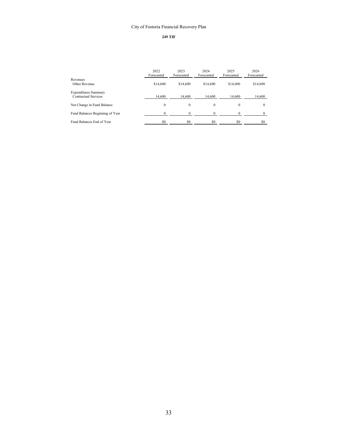# **249 TIF**

|                                                     | 2022<br>Forecasted | 2023<br>Forecasted | 2024<br>Forecasted | 2025<br>Forecasted | 2026<br>Forecasted |
|-----------------------------------------------------|--------------------|--------------------|--------------------|--------------------|--------------------|
| Revenues<br>Other Revenue                           | \$14,600           | \$14,600           | \$14,600           | \$14,600           | \$14,600           |
| <b>Expenditures Summary</b><br>Contractual Services | 14,600             | 14.600             | 14.600             | 14,600             | 14,600             |
| Net Change in Fund Balance                          | 0                  | $\theta$           | $\theta$           | $\Omega$           | $\theta$           |
| Fund Balances Beginning of Year                     | $\Omega$           | $\Omega$           |                    | $\Omega$           |                    |
| Fund Balances End of Year                           | \$0                | \$0                | \$0                | \$0                | \$0                |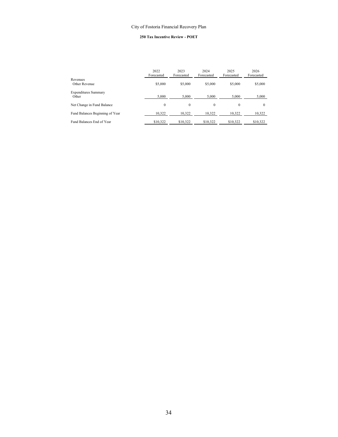# **250 Tax Incentive Review - POET**

|                                      | 2022<br>Forecasted | 2023<br>Forecasted | 2024<br>Forecasted | 2025<br>Forecasted | 2026<br>Forecasted |
|--------------------------------------|--------------------|--------------------|--------------------|--------------------|--------------------|
| Revenues<br>Other Revenue            | \$5,000            | \$5,000            | \$5,000            | \$5,000            | \$5,000            |
| <b>Expenditures Summary</b><br>Other | 5,000              | 5.000              | 5.000              | 5,000              | 5,000              |
| Net Change in Fund Balance           | 0                  | $\theta$           | $\Omega$           | $\mathbf{0}$       | $\theta$           |
| Fund Balances Beginning of Year      | 10,322             | 10,322             | 10,322             | 10,322             | 10,322             |
| Fund Balances End of Year            | \$10,322           | \$10,322           | \$10,322           | \$10,322           | \$10,322           |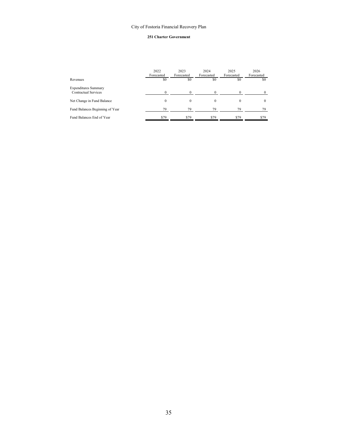#### **251 Charter Government**

|                                                     | 2022<br>Forecasted | 2023<br>Forecasted | 2024<br>Forecasted | 2025<br>Forecasted | 2026<br>Forecasted |
|-----------------------------------------------------|--------------------|--------------------|--------------------|--------------------|--------------------|
| Revenues                                            | \$0                | \$0                | \$0                | \$0                | \$0                |
| <b>Expenditures Summary</b><br>Contractual Services | $\theta$           |                    |                    |                    | $\Omega$           |
| Net Change in Fund Balance                          | $\theta$           | $\Omega$           | $\Omega$           | $\Omega$           | $\mathbf{0}$       |
| Fund Balances Beginning of Year                     | 79                 | 79                 | 79                 | 79                 | 79                 |
| Fund Balances End of Year                           | \$79               | \$79               | \$79               | \$79               | \$79               |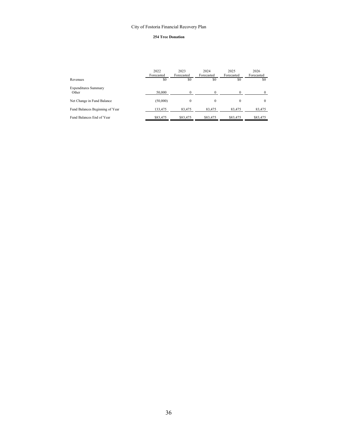### **254 Tree Donation**

|                                      | 2022<br>Forecasted | 2023<br>Forecasted | 2024<br>Forecasted | 2025<br>Forecasted | 2026<br>Forecasted |
|--------------------------------------|--------------------|--------------------|--------------------|--------------------|--------------------|
| Revenues                             | \$0                | \$0                | \$0                | \$0                | \$0                |
| <b>Expenditures Summary</b><br>Other | 50,000             | $\Omega$           |                    |                    | $\theta$           |
|                                      |                    |                    |                    |                    |                    |
| Net Change in Fund Balance           | (50,000)           | $\Omega$           | $\Omega$           | $\theta$           | $\theta$           |
| Fund Balances Beginning of Year      | 133,475            | 83,475             | 83,475             | 83,475             | 83,475             |
| Fund Balances End of Year            | \$83,475           | \$83,475           | \$83,475           | \$83,475           | \$83,475           |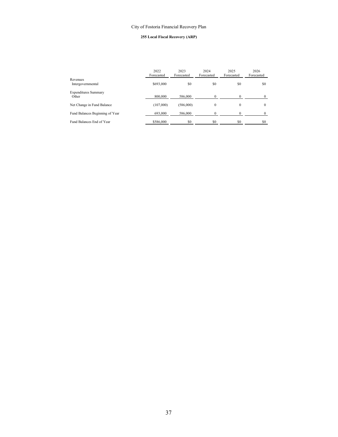### **255 Local Fiscal Recovery (ARP)**

|                                      | 2022<br>Forecasted | 2023<br>Forecasted | 2024<br>Forecasted | 2025<br>Forecasted | 2026<br>Forecasted |
|--------------------------------------|--------------------|--------------------|--------------------|--------------------|--------------------|
| Revenues<br>Intergovernmental        | \$693,000          | \$0                | \$0                | \$0                | S0                 |
| <b>Expenditures Summary</b><br>Other | 800,000            | 586,000            |                    |                    | $\Omega$           |
| Net Change in Fund Balance           | (107,000)          | (586,000)          | $\Omega$           | 0                  | $\theta$           |
| Fund Balances Beginning of Year      | 693,000            | 586,000            |                    |                    | $\Omega$           |
| Fund Balances End of Year            | \$586,000          | \$0                | \$0                | \$0                | \$0                |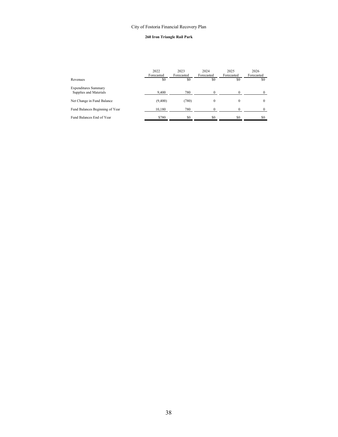### **260 Iron Triangle Rail Park**

|                                                       | 2022<br>Forecasted | 2023<br>Forecasted | 2024<br>Forecasted | 2025<br>Forecasted | 2026<br>Forecasted |
|-------------------------------------------------------|--------------------|--------------------|--------------------|--------------------|--------------------|
| Revenues                                              | \$0                | \$0                | \$0                | \$0                | \$0                |
| <b>Expenditures Summary</b><br>Supplies and Materials | 9,400              | 780                |                    |                    | $\theta$           |
| Net Change in Fund Balance                            | (9,400)            | (780)              | $\theta$           | 0                  | $\theta$           |
| Fund Balances Beginning of Year                       | 10,180             | 780                |                    |                    | 0                  |
| Fund Balances End of Year                             | \$780              | \$0                | \$0                | \$0                | \$0                |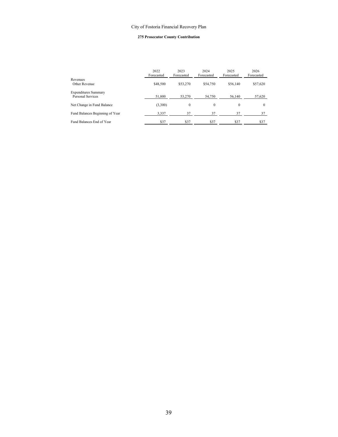### **275 Prosecutor County Contribution**

|                                                  | 2022<br>Forecasted | 2023<br>Forecasted | 2024<br>Forecasted | 2025<br>Forecasted | 2026<br>Forecasted |
|--------------------------------------------------|--------------------|--------------------|--------------------|--------------------|--------------------|
| Revenues<br>Other Revenue                        | \$48,500           | \$53,270           | \$54,750           | \$56,140           | \$57,620           |
| <b>Expenditures Summary</b><br>Personal Services | 51,800             | 53,270             | 54,750             | 56,140             | 57,620             |
| Net Change in Fund Balance                       | (3,300)            | $\mathbf{0}$       | $\mathbf{0}$       | $\mathbf{0}$       | $\Omega$           |
| Fund Balances Beginning of Year                  | 3,337              | 37                 | 37                 | 37                 | 37                 |
| Fund Balances End of Year                        | \$37               | \$37               | \$37               | \$37               | \$37               |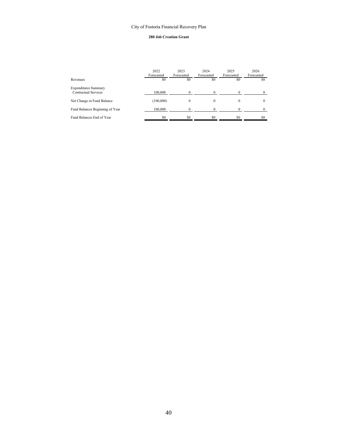### **280 Job Creation Grant**

|                                                     | 2022<br>Forecasted | 2023<br>Forecasted | 2024<br>Forecasted | 2025<br>Forecasted | 2026<br>Forecasted |
|-----------------------------------------------------|--------------------|--------------------|--------------------|--------------------|--------------------|
| Revenues                                            | \$0                | \$0                | \$0                | \$0                | \$0                |
| <b>Expenditures Summary</b><br>Contractual Services | 100,000            |                    |                    |                    | 0                  |
| Net Change in Fund Balance                          | (100,000)          | $\Omega$           |                    | 0                  | $\theta$           |
| Fund Balances Beginning of Year                     | 100,000            | $\Omega$           |                    |                    | $\theta$           |
| Fund Balances End of Year                           | \$0                | \$0                | \$0                | \$0                | \$0                |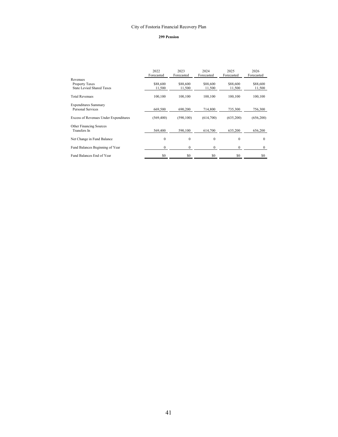### **299 Pension**

|                                         | 2022<br>Forecasted | 2023<br>Forecasted | 2024<br>Forecasted | 2025<br>Forecasted | 2026<br>Forecasted |
|-----------------------------------------|--------------------|--------------------|--------------------|--------------------|--------------------|
| Revenues                                |                    |                    |                    |                    |                    |
| <b>Property Taxes</b>                   | \$88,600           | \$88,600           | \$88,600           | \$88,600           | \$88,600           |
| State Levied Shared Taxes               | 11,500             | 11,500             | 11,500             | 11,500             | 11,500             |
| <b>Total Revenues</b>                   | 100,100            | 100,100            | 100,100            | 100,100            | 100,100            |
| <b>Expenditures Summary</b>             |                    |                    |                    |                    |                    |
| Personal Services                       | 669,500            | 690.200            | 714,800            | 735,300            | 756,300            |
| Excess of Revenues Under Expenditures   | (569, 400)         | (590, 100)         | (614,700)          | (635,200)          | (656, 200)         |
| Other Financing Sources<br>Transfers In | 569,400            | 590,100            | 614,700            | 635,200            | 656,200            |
|                                         |                    |                    |                    |                    |                    |
| Net Change in Fund Balance              | $\theta$           | $\theta$           | $\mathbf{0}$       | $\Omega$           | $\Omega$           |
| Fund Balances Beginning of Year         | $\mathbf{0}$       | $\Omega$           | $\mathbf{0}$       | $\mathbf{0}$       | $\mathbf{0}$       |
| Fund Balances End of Year               | \$0                | \$0                | \$0                | \$0                | \$0                |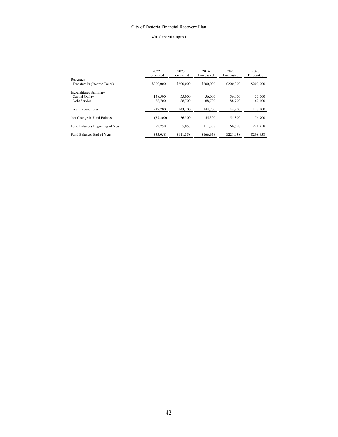### **401 General Capital**

|                                         | 2022<br>Forecasted | 2023<br>Forecasted | 2024<br>Forecasted | 2025<br>Forecasted | 2026<br>Forecasted |
|-----------------------------------------|--------------------|--------------------|--------------------|--------------------|--------------------|
| Revenues<br>Transfers In (Income Taxes) | \$200,000          | \$200,000          | \$200,000          | \$200,000          | \$200,000          |
| <b>Expenditures Summary</b>             |                    |                    |                    |                    |                    |
| Capital Outlav                          | 148,500            | 55,000             | 56,000             | 56,000             | 56,000             |
| Debt Service                            | 88,700             | 88,700             | 88,700             | 88,700             | 67,100             |
| Total Expenditures                      | 237,200            | 143.700            | 144,700            | 144,700            | 123,100            |
| Net Change in Fund Balance              | (37,200)           | 56,300             | 55,300             | 55,300             | 76,900             |
| Fund Balances Beginning of Year         | 92,258             | 55,058             | 111.358            | 166,658            | 221,958            |
| Fund Balances End of Year               | \$55,058           | \$111,358          | \$166,658          | \$221.958          | \$298,858          |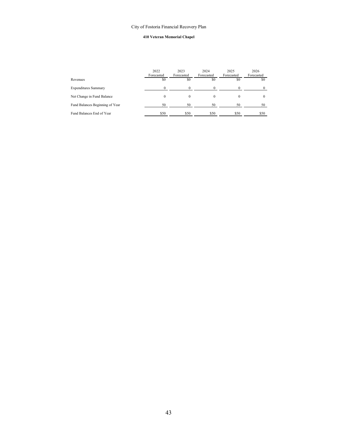### **410 Veteran Memorial Chapel**

|                                 | 2022<br>Forecasted | 2023<br>Forecasted | 2024<br>Forecasted | 2025<br>Forecasted | 2026<br>Forecasted |
|---------------------------------|--------------------|--------------------|--------------------|--------------------|--------------------|
| Revenues                        | \$0                | \$0                | \$0                | \$0                | \$0                |
| <b>Expenditures Summary</b>     | $\Omega$           |                    |                    |                    | $\Omega$           |
| Net Change in Fund Balance      | $\Omega$           | $\Omega$           | 0                  | $\Omega$           | $\theta$           |
| Fund Balances Beginning of Year | 50                 | 50                 | 50                 | 50                 | 50                 |
| Fund Balances End of Year       | \$50               | \$50               | \$50               | \$50               | \$50               |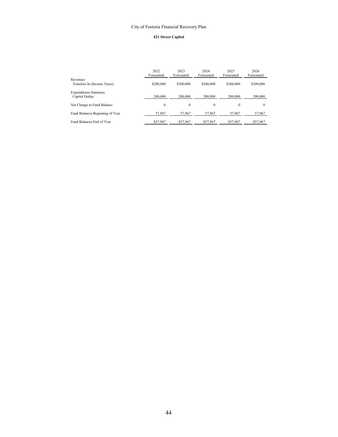### **421 Street Capital**

|                                               | 2022<br>Forecasted | 2023<br>Forecasted | 2024<br>Forecasted | 2025<br>Forecasted | 2026<br>Forecasted |
|-----------------------------------------------|--------------------|--------------------|--------------------|--------------------|--------------------|
| Revenues<br>Transfers In (Income Taxes)       | \$200,000          | \$200,000          | \$200,000          | \$200,000          | \$200,000          |
| <b>Expenditures Summary</b><br>Capital Outlay | 200,000            | 200,000            | 200,000            | 200,000            | 200,000            |
| Net Change in Fund Balance                    | $\mathbf{0}$       | $\Omega$           | $\Omega$           | $\theta$           | $\Omega$           |
| Fund Balances Beginning of Year               | 57,967             | 57,967             | 57,967             | 57,967             | 57,967             |
| Fund Balances End of Year                     | \$57,967           | \$57,967           | \$57,967           | \$57,967           | \$57,967           |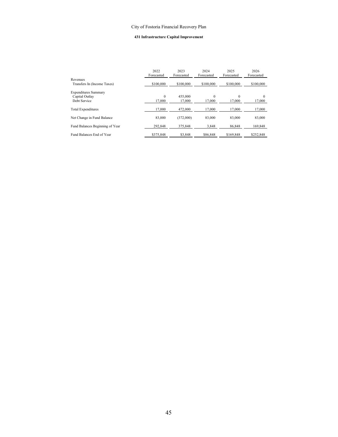### **431 Infrastructure Capital Improvement**

|                                         | 2022<br>Forecasted | 2023<br>Forecasted | 2024<br>Forecasted | 2025<br>Forecasted | 2026<br>Forecasted |
|-----------------------------------------|--------------------|--------------------|--------------------|--------------------|--------------------|
| Revenues<br>Transfers In (Income Taxes) | \$100,000          | \$100,000          | \$100,000          | \$100,000          | \$100,000          |
| <b>Expenditures Summary</b>             |                    |                    |                    |                    |                    |
| Capital Outlay                          | $\mathbf{0}$       | 455,000            | $\Omega$           | $\Omega$           | $\Omega$           |
| Debt Service                            | 17,000             | 17,000             | 17,000             | 17,000             | 17,000             |
| Total Expenditures                      | 17,000             | 472,000            | 17.000             | 17.000             | 17,000             |
| Net Change in Fund Balance              | 83,000             | (372,000)          | 83,000             | 83,000             | 83,000             |
| Fund Balances Beginning of Year         | 292,848            | 375,848            | 3.848              | 86.848             | 169,848            |
| Fund Balances End of Year               | \$375,848          | \$3,848            | \$86,848           | \$169,848          | \$252,848          |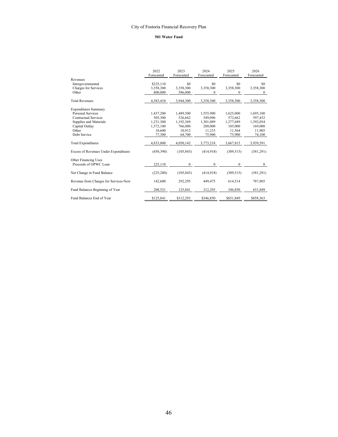### **501 Water Fund**

|                                              | 2022<br>Forecasted | 2023<br>Forecasted | 2024<br>Forecasted | 2025<br>Forecasted | 2026<br>Forecasted |
|----------------------------------------------|--------------------|--------------------|--------------------|--------------------|--------------------|
| Revenues                                     |                    |                    |                    |                    |                    |
| Intergovernmental                            | \$225,110          | \$0                | \$0                | \$0                | \$0                |
| Charges for Services                         | 3.358.300          | 3,358,300          | 3,358,300          | 3,358,300          | 3,358,300          |
| Other                                        | 800,000            | 586,000            | $\mathbf{0}$       | 0                  | $\theta$           |
| <b>Total Revenues</b>                        | 4,383,410          | 3,944,300          | 3,358,300          | 3,358,300          | 3,358,300          |
| <b>Expenditures Summary</b>                  |                    |                    |                    |                    |                    |
| Personal Services                            | 1,437,200          | 1,489,500          | 1,555,900          | 1,625,000          | 1,695,100          |
| Contractual Services                         | 505,300            | 526,662            | 549,096            | 572,662            | 597,432            |
| Supplies and Materials                       | 1,231,300          | 1,192,369          | 1,301,089          | 1,277,689          | 1,392,054          |
| Capital Outlay                               | 1,572,100          | 766,000            | 280,000            | 105,000            | 169,000            |
| Other                                        | 10.600             | 10.912             | 11,233             | 11,564             | 11,905             |
| Debt Service                                 | 77,300             | 64,700             | 75,900             | 75,900             | 74,100             |
| <b>Total Expenditures</b>                    | 4,833,800          | 4,050,143          | 3,773,218          | 3,667,815          | 3,939,591          |
| <b>Excess of Revenues Under Expenditures</b> | (450, 390)         | (105, 843)         | (414,918)          | (309, 515)         | (581,291)          |
| Other Financing Uses                         |                    |                    |                    |                    |                    |
| Proceeds of OPWC Loan                        | 225,110            | $\theta$           | $\Omega$           | $\mathbf{0}$       | $\theta$           |
| Net Change in Fund Balance                   | (225, 280)         | (105, 843)         | (414,918)          | (309, 515)         | (581,291)          |
| Revenue from Charges for Services-New        | 142,600            | 292,295            | 449,475            | 614,514            | 787,805            |
| Fund Balances Beginning of Year              | 208,521            | 125,841            | 312,293            | 346,850            | 651,849            |
| Fund Balances End of Year                    | \$125,841          | \$312,293          | \$346,850          | \$651,849          | \$858,363          |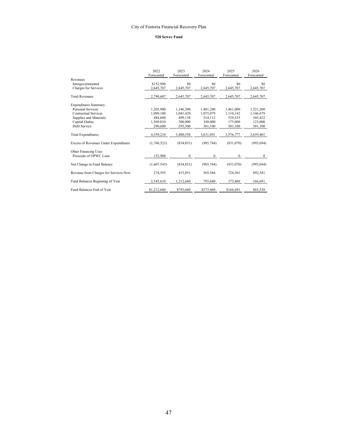### **520 Sewer Fund**

|                                       | 2022<br>Forecasted | 2023<br>Forecasted | 2024<br>Forecasted | 2025<br>Forecasted | 2026<br>Forecasted |
|---------------------------------------|--------------------|--------------------|--------------------|--------------------|--------------------|
| Revenues                              |                    |                    |                    |                    |                    |
| Intergovernmental                     | \$152,980          | \$0                | \$0                | \$0                | \$0                |
| Charges for Services                  | 2,645,707          | 2,645,707          | 2,645,707          | 2,645,707          | 2,645,707          |
| <b>Total Revenues</b>                 | 2,798,687          | 2,645,707          | 2,645,707          | 2,645,707          | 2,645,707          |
| <b>Expenditures Summary</b>           |                    |                    |                    |                    |                    |
| Personal Services                     | 1,205,900          | 1,346,500          | 1,401,200          | 1,461,000          | 1,521,200          |
| Contractual Services                  | 1.009.100          | 1,041,420          | 1,075,079          | 1,110,142          | 1,146,679          |
| Supplies and Materials                | 484,600            | 499,138            | 514,112            | 529,535            | 545,422            |
| Capital Outlav                        | 1,569,010          | 300,000            | 340,000            | 175,000            | 125,000            |
| Debt Service                          | 290,600            | 293,500            | 301,100            | 301,100            | 301,100            |
| <b>Total Expenditures</b>             | 4,559,210          | 3,480,558          | 3,631,491          | 3,576,777          | 3,639,401          |
| Excess of Revenues Under Expenditures | (1,760,523)        | (834, 851)         | (985, 784)         | (931,070)          | (993, 694)         |
| Other Financing Uses                  |                    |                    |                    |                    |                    |
| Proceeds of OPWC Loan                 | 152.980            | $\Omega$           | $\theta$           | $\bf{0}$           | $\mathbf{0}$       |
| Net Change in Fund Balance            | (1,607,543)        | (834, 851)         | (985, 784)         | (931,070)          | (993, 694)         |
| Revenue from Charges for Services-New | 274,593            | 415,851            | 565,584            | 724,301            | 892,541            |
| Fund Balances Beginning of Year       | 2,545,610          | 1,212,660          | 793,660            | 373,460            | 166,691            |
| Fund Balances End of Year             | \$1,212,660        | \$793,660          | \$373,460          | \$166,691          | \$65,538           |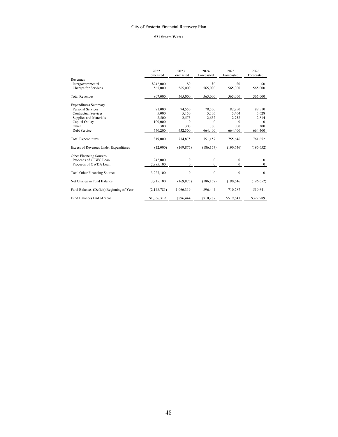### **521 Storm Water**

|                                           | 2022<br>Forecasted | 2023<br>Forecasted | 2024<br>Forecasted | 2025<br>Forecasted | 2026<br>Forecasted |
|-------------------------------------------|--------------------|--------------------|--------------------|--------------------|--------------------|
| Revenues                                  |                    |                    |                    |                    |                    |
| Intergovernmental                         | \$242,000          | \$0                | \$0                | \$0                | \$0                |
| Charges for Services                      | 565,000            | 565,000            | 565,000            | 565,000            | 565,000            |
| <b>Total Revenues</b>                     | 807,000            | 565,000            | 565,000            | 565,000            | 565,000            |
| <b>Expenditures Summary</b>               |                    |                    |                    |                    |                    |
| Personal Services                         | 71,000             | 74,550             | 78,500             | 82,750             | 88,510             |
| <b>Contractual Services</b>               | 5.000              | 5.150              | 5,305              | 5,464              | 5,628              |
| Supplies and Materials                    | 2,500              | 2,575              | 2,652              | 2,732              | 2,814              |
| Capital Outlay                            | 100,000            | $\Omega$           | $\Omega$           | $\theta$           | $\theta$           |
| Other                                     | 300                | 300                | 300                | 300                | 300                |
| Debt Service                              | 640,200            | 652,300            | 664,400            | 664,400            | 664,400            |
| <b>Total Expenditures</b>                 | 819,000            | 734,875            | 751,157            | 755,646            | 761,652            |
| Excess of Revenues Under Expenditures     | (12,000)           | (169, 875)         | (186, 157)         | (190, 646)         | (196, 652)         |
| Other Financing Sources                   |                    |                    |                    |                    |                    |
| Proceeds of OPWC Loan                     | 242,000            | $\mathbf{0}$       | $\theta$           | $\mathbf{0}$       | $\theta$           |
| Proceeds of OWDA Loan                     | 2,985,100          | $\Omega$           | $\Omega$           | $\theta$           | $\theta$           |
| <b>Total Other Financing Sources</b>      | 3,227,100          | $\mathbf{0}$       | $\mathbf{0}$       | $\mathbf{0}$       | $\theta$           |
| Net Change in Fund Balance                | 3,215,100          | (169, 875)         | (186, 157)         | (190, 646)         | (196, 652)         |
| Fund Balances (Deficit) Beginning of Year | (2, 148, 781)      | 1,066,319          | 896,444            | 710,287            | 519,641            |
| Fund Balances End of Year                 | \$1,066,319        | \$896,444          | \$710,287          | \$519,641          | \$322,989          |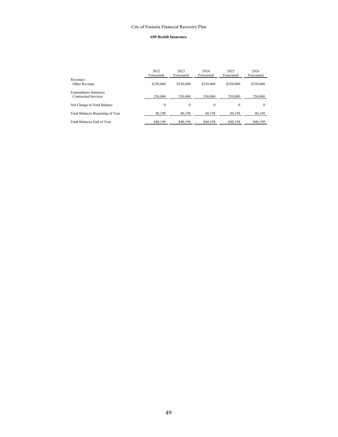### **650 Health Insurance**

|                                                     | 2022<br>Forecasted | 2023<br>Forecasted | 2024<br>Forecasted | 2025<br>Forecasted | 2026<br>Forecasted |
|-----------------------------------------------------|--------------------|--------------------|--------------------|--------------------|--------------------|
| Revenues<br>Other Revenue                           | \$250,000          | \$250,000          | \$250,000          | \$250,000          | \$250,000          |
| <b>Expenditures Summary</b><br>Contractual Services | 250,000            | 250,000            | 250,000            | 250,000            | 250,000            |
| Net Change in Fund Balance                          | 0                  | $\Omega$           | $\theta$           | 0                  | $\Omega$           |
| Fund Balances Beginning of Year                     | 40,198             | 40,198             | 40,198             | 40,198             | 40,198             |
| Fund Balances End of Year                           | \$40,198           | \$40,198           | \$40,198           | \$40,198           | \$40,198           |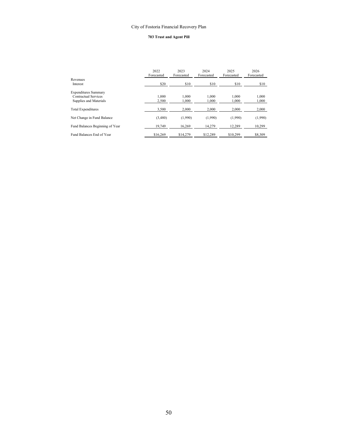### **703 Trust and Agent Pill**

|                                 | 2022<br>Forecasted | 2023<br>Forecasted | 2024<br>Forecasted | 2025<br>Forecasted | 2026<br>Forecasted |
|---------------------------------|--------------------|--------------------|--------------------|--------------------|--------------------|
| Revenues<br>Interest            | \$20               | \$10               | \$10               | \$10               | \$10               |
| <b>Expenditures Summary</b>     |                    |                    |                    |                    |                    |
| Contractual Services            | 1.000              | 1.000              | 1.000              | 1.000              | 1,000              |
| Supplies and Materials          | 2.500              | 1.000              | 1.000              | 1,000              | 1,000              |
| Total Expenditures              | 3.500              | 2.000              | 2.000              | 2.000              | 2,000              |
| Net Change in Fund Balance      | (3,480)            | (1,990)            | (1,990)            | (1,990)            | (1,990)            |
| Fund Balances Beginning of Year | 19,749             | 16.269             | 14.279             | 12.289             | 10,299             |
| Fund Balances End of Year       | \$16,269           | \$14,279           | \$12.289           | \$10,299           | \$8,309            |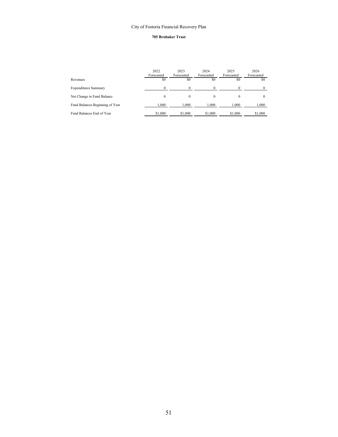### **705 Brubaker Trust**

|                                 | 2022<br>Forecasted | 2023<br>Forecasted | 2024<br>Forecasted | 2025<br>Forecasted | 2026<br>Forecasted |
|---------------------------------|--------------------|--------------------|--------------------|--------------------|--------------------|
| Revenues                        | \$0                | \$0                | \$0                | \$0                | \$0                |
| <b>Expenditures Summary</b>     |                    |                    |                    |                    |                    |
| Net Change in Fund Balance      | 0                  | $\Omega$           | $\theta$           |                    |                    |
| Fund Balances Beginning of Year | 1.000              | 1.000              | 1.000              | 1.000              | 1,000              |
| Fund Balances End of Year       | \$1,000            | \$1,000            | \$1,000            | \$1,000            | \$1,000            |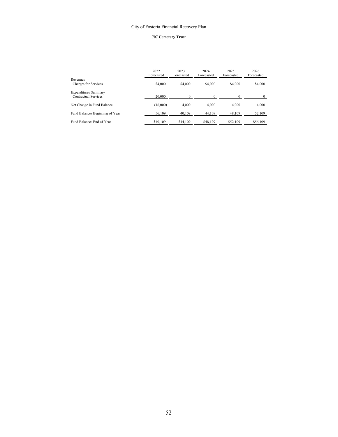### **707 Cemetery Trust**

|                                                     | 2022<br>Forecasted | 2023<br>Forecasted | 2024<br>Forecasted | 2025<br>Forecasted | 2026<br>Forecasted |
|-----------------------------------------------------|--------------------|--------------------|--------------------|--------------------|--------------------|
| Revenues<br>Charges for Services                    | \$4,000            | \$4,000            | \$4,000            | \$4,000            | \$4,000            |
| <b>Expenditures Summary</b><br>Contractual Services | 20,000             |                    |                    |                    |                    |
| Net Change in Fund Balance                          | (16,000)           | 4.000              | 4.000              | 4,000              | 4,000              |
| Fund Balances Beginning of Year                     | 56,109             | 40,109             | 44,109             | 48,109             | 52,109             |
| Fund Balances End of Year                           | \$40,109           | \$44,109           | \$48,109           | \$52,109           | \$56,109           |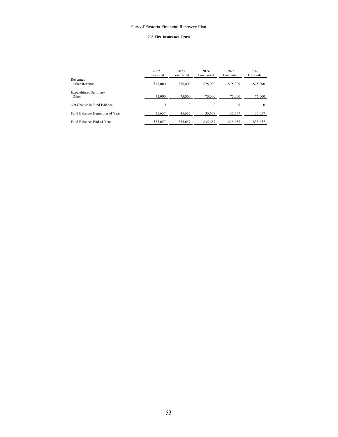### **708 Fire Insurance Trust**

|                                      | 2022<br>Forecasted | 2023<br>Forecasted | 2024<br>Forecasted | 2025<br>Forecasted | 2026<br>Forecasted |
|--------------------------------------|--------------------|--------------------|--------------------|--------------------|--------------------|
| Revenues<br>Other Revenue            | \$75,000           | \$75,000           | \$75,000           | \$75,000           | \$75,000           |
| <b>Expenditures Summary</b><br>Other | 75,000             | 75,000             | 75,000             | 75,000             | 75,000             |
| Net Change in Fund Balance           | $\Omega$           | $\theta$           | 0                  | $\Omega$           | $\Omega$           |
| Fund Balances Beginning of Year      | 35,657             | 35,657             | 35,657             | 35,657             | 35,657             |
| Fund Balances End of Year            | \$35,657           | \$35,657           | \$35,657           | \$35,657           | \$35,657           |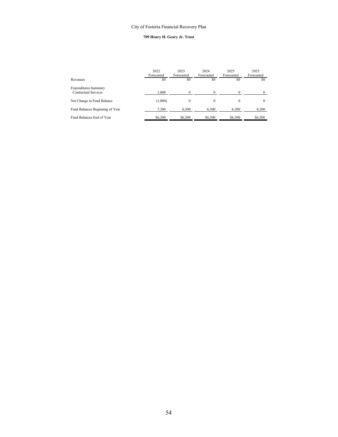### **709 Henry H. Geary Jr. Trust**

|                                                     | 2022<br>Forecasted | 2023<br>Forecasted | 2024<br>Forecasted | 2025<br>Forecasted | 2025<br>Forecasted |
|-----------------------------------------------------|--------------------|--------------------|--------------------|--------------------|--------------------|
| Revenues                                            | \$0                | \$0                | \$0                | \$0                | \$0                |
| <b>Expenditures Summary</b><br>Contractual Services |                    |                    | $\Omega$           |                    |                    |
|                                                     | 1.000              | $\Omega$           |                    | $\Omega$           | $\theta$           |
| Net Change in Fund Balance                          | (1,000)            | $\Omega$           | $\theta$           | $\theta$           | $\theta$           |
| Fund Balances Beginning of Year                     | 7,300              | 6,300              | 6,300              | 6,300              | 6,300              |
| Fund Balances End of Year                           | \$6,300            | \$6,300            | \$6,300            | \$6,300            | \$6,300            |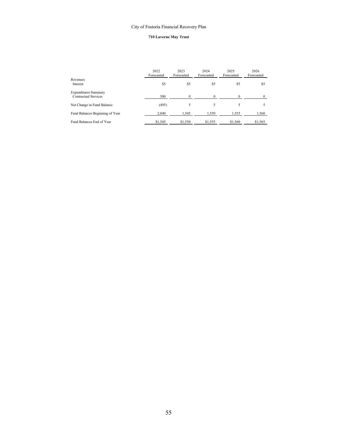### **710 Laverne May Trust**

|                                                     | 2022<br>Forecasted | 2023<br>Forecasted | 2024<br>Forecasted | 2025<br>Forecasted | 2026<br>Forecasted |
|-----------------------------------------------------|--------------------|--------------------|--------------------|--------------------|--------------------|
| Revenues<br>Interest                                | \$5                | \$5                | \$5                | \$5                | \$5                |
| <b>Expenditures Summary</b><br>Contractual Services | 500                | 0                  |                    |                    |                    |
| Net Change in Fund Balance                          | (495)              | 5                  | 5                  |                    |                    |
| Fund Balances Beginning of Year                     | 2.040              | 1,545              | 1,550              | 1,555              | 1,560              |
| Fund Balances End of Year                           | \$1,545            | \$1,550            | \$1,555            | \$1,560            | \$1,565            |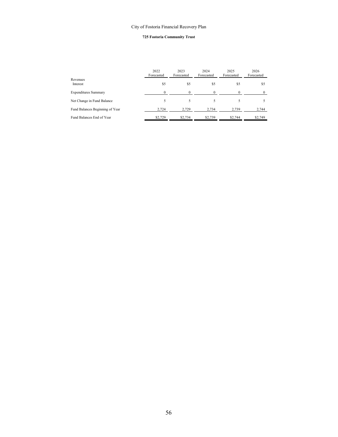### **725 Fostoria Community Trust**

|                                 | 2022<br>Forecasted | 2023<br>Forecasted | 2024<br>Forecasted | 2025<br>Forecasted | 2026<br>Forecasted |
|---------------------------------|--------------------|--------------------|--------------------|--------------------|--------------------|
| Revenues<br>Interest            | \$5                | \$5                | \$5                | \$5                | \$5                |
| <b>Expenditures Summary</b>     | 0                  |                    | $\Omega$           | $\Omega$           | 0                  |
| Net Change in Fund Balance      | 5                  |                    |                    |                    |                    |
| Fund Balances Beginning of Year | 2.724              | 2,729              | 2,734              | 2,739              | 2,744              |
| Fund Balances End of Year       | \$2,729            | \$2,734            | \$2,739            | \$2,744            | \$2,749            |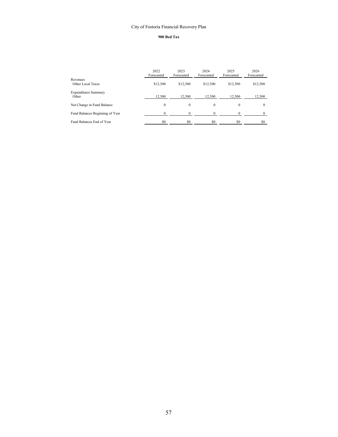### **900 Bed Tax**

|                                      | 2022<br>Forecasted | 2023<br>Forecasted | 2024<br>Forecasted | 2025<br>Forecasted | 2026<br>Forecasted |
|--------------------------------------|--------------------|--------------------|--------------------|--------------------|--------------------|
| Revenues<br>Other Local Taxes        | \$12,500           | \$12,500           | \$12,500           | \$12,500           | \$12,500           |
| <b>Expenditures Summary</b><br>Other | 12,500             | 12,500             | 12.500             | 12.500             | 12,500             |
| Net Change in Fund Balance           | $\Omega$           | $\theta$           | $\Omega$           | $\mathbf{0}$       | $\theta$           |
| Fund Balances Beginning of Year      | $\Omega$           | $\Omega$           |                    | $\Omega$           | $\Omega$           |
| Fund Balances End of Year            | \$0                | \$0                | \$0                | \$0                | SO.                |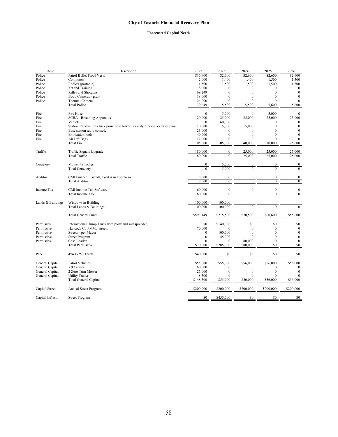# **Forecasted Capital Needs**

| Dept              | Description                                                                  | 2022               | 2023             | 2024             | 2025                   | 2026                   |
|-------------------|------------------------------------------------------------------------------|--------------------|------------------|------------------|------------------------|------------------------|
| Police            | Patrol Bullet Proof Vests                                                    | \$16,900           | \$2,600          | \$2,600          | $\overline{$}2,600$    | \$2,600                |
| Police            | Computers                                                                    | 2,000              | 1,400            | 1,400            | 1,500                  | 1,500                  |
| Police            | Radio's (portable)                                                           | 1,500              | 1,500            | 1,500            | 1,500                  | 1,500                  |
| Police            | K9 and Training                                                              | 8,000              | $\mathbf{0}$     | $\Omega$         | $\mathbf{0}$           | $\mathbf{0}$           |
| Police            | Rifles and Shotguns                                                          | 69,249             | $\theta$         | $\theta$         | $\theta$               | $\mathbf{0}$           |
| Police            | Body Cameras - grant                                                         | 18,000             | $\theta$         | $\theta$         | $\theta$               | $\mathbf{0}$           |
| Police            | Thermal Camera                                                               | 24,000             | $\mathbf{0}$     | $\mathbf{0}$     | $\mathbf{0}$           | $\mathbf{0}$           |
|                   | <b>Total Police</b>                                                          | 139,649            | 5,500            | 5,500            | 5,600                  | 5,600                  |
| Fire              | Fire Hose                                                                    | $\mathbf{0}$       | 5,000            | $\mathbf{0}$     | 5,000                  | $\mathbf 0$            |
|                   |                                                                              | 20,000             | 25,000           | 25,000           |                        |                        |
| Fire<br>Fire      | <b>SCBA</b> - Breathing Apparatus                                            | $\Omega$           | 60,000           |                  | 25,000<br>$\mathbf{0}$ | 25,000<br>$\mathbf{0}$ |
|                   | Vehicle                                                                      |                    |                  |                  |                        |                        |
| Fire              | Station Renovation - tuck point hose tower, security fencing, exterior paint | 10,000             | 15,000           | 15,000           | $\mathbf{0}$           | $\bf{0}$               |
| Fire              | Base station radio console                                                   | 23,000             | $\mathbf{0}$     | $\mathbf{0}$     | $\Omega$               | $\boldsymbol{0}$       |
| Fire              | <b>Extrication</b> tools                                                     | 40,000             | $\theta$         | $\theta$         | $\Omega$               | $\Omega$               |
| Fire              | Air Lift Bags                                                                | 12,000             | $\mathbf{0}$     | $\mathbf{0}$     | $\mathbf{0}$           | $\mathbf{0}$           |
|                   | <b>Total Fire</b>                                                            | 105,000            | 105,000          | 40,000           | 30,000                 | 25,000                 |
| Traffic           | Traffic Signals Upgrade                                                      | 180,000            | $\boldsymbol{0}$ | 25,000           | 25,000                 | 25,000                 |
|                   | <b>Total Traffic</b>                                                         | 180,000            | $\overline{0}$   | 25,000           | 25,000                 | 25,000                 |
| Cemetery          | Mower 48 inches                                                              | $\boldsymbol{0}$   | 5.000            | $\mathbf{0}$     | $\boldsymbol{0}$       | $\boldsymbol{0}$       |
|                   | <b>Total Cemetery</b>                                                        | $\overline{0}$     | 5,000            | $\overline{0}$   | $\overline{0}$         | $\overline{0}$         |
| Auditor           |                                                                              |                    | $\boldsymbol{0}$ | $\boldsymbol{0}$ | $\boldsymbol{0}$       | $\boldsymbol{0}$       |
|                   | CMI Finance, Payroll, Fxed Asset Software                                    | 8,500              |                  |                  |                        |                        |
|                   | <b>Total Auditor</b>                                                         | 8,500              | $\overline{0}$   | $\overline{0}$   | $\overline{0}$         | $\overline{0}$         |
| Income Tax        | CMI Income Tax Software                                                      | 60,000             | $\mathbf{0}$     | $\mathbf{0}$     | $\mathbf{0}$           | $\boldsymbol{0}$       |
|                   | Total Income Tax                                                             | 60,000             | $\mathbf{0}$     | $\mathbf{0}$     | $\mathbf{0}$           | $\mathbf{0}$           |
| Lands & Buildings | Windows in Building                                                          | 100,000            | 100,000          |                  |                        |                        |
|                   | Total Lands & Buildings                                                      | 100,000            | 100,000          | $\overline{0}$   | $\overline{0}$         | $\overline{0}$         |
|                   | <b>Total General Fund</b>                                                    | \$593,149          | \$215,500        | \$70,500         | \$60,600               | \$55,600               |
| Permissive        | International Dump Truck with plow and salt spreader                         | \$0                | \$140,000        | \$0              | \$0                    | \$0                    |
| Permissive        | Hancock Co PMVL-streets                                                      | 70,000             | $\mathbf{0}$     | $\mathbf{0}$     | $\mathbf{0}$           | $\bf{0}$               |
| Permissive        | Streets - per Mayor                                                          | $\mathbf{0}$       | 100,000          | $\mathbf{0}$     | $\overline{0}$         | $\mathbf{0}$           |
| Permissive        | <b>Street Program</b>                                                        | $\mathbf{0}$       | 45,000           | $\Omega$         | $\theta$               | $\mathbf{0}$           |
| Permissive        | Case Loader                                                                  | 0                  | $\mathbf{0}$     | 80,000           | $\mathbf{0}$           | $\bf{0}$               |
|                   | <b>Total Permissive</b>                                                      | \$70,000           | \$285,000        | \$80,000         | \$0                    | \$0                    |
| Park              | 4x4 F-250 Truck                                                              | \$40,000           | \$0              | \$0              | \$0                    | \$0                    |
| General Capital   | Patrol Vehicles                                                              | \$55,000           | \$55,000         | \$56,000         | \$56,000               | \$56,000               |
| General Capital   | K9 Cruiser                                                                   | 60,000             | $\mathbf{0}$     | $\mathbf{0}$     | $\mathbf{0}$           | $\bf{0}$               |
| General Capital   | 2 Zero Turn Mower                                                            | 25,000             | $\mathbf{0}$     | $\theta$         | $\theta$               | $\mathbf{0}$           |
|                   | <b>Utility Trailer</b>                                                       |                    | $\mathbf{0}$     | $\Omega$         | 0                      | $\mathbf{0}$           |
| General Capital   | Total General Capital                                                        | 8,500<br>\$148,500 | \$55,000         | \$56,000         | \$56,000               | \$56,000               |
| Capital Street    | Annual Street Program                                                        | \$200,000          | \$200,000        | \$200,000        | \$200,000              | \$200,000              |
|                   |                                                                              |                    |                  |                  |                        |                        |
| Capital Infrast   | <b>Street Program</b>                                                        | \$0                | \$455,000        | \$0              | \$0                    | \$0                    |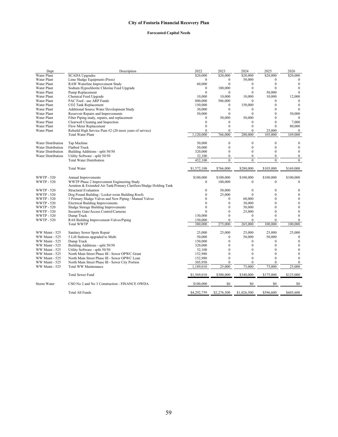# **Forecasted Capital Needs**

| Dept                      | Description                                                                                                       | 2022           | 2023             | 2024         | 2025         | 2026             |
|---------------------------|-------------------------------------------------------------------------------------------------------------------|----------------|------------------|--------------|--------------|------------------|
| <b>Water Plant</b>        | <b>SCADA</b> Upgrades                                                                                             | \$20,000       | \$20,000         | \$20,000     | \$20,000     | \$20,000         |
| Water Plant               | Lime Sludge Equipment (Press)                                                                                     | $\Omega$       | 0                | 50,000       | $\Omega$     | $\Omega$         |
| <b>Water Plant</b>        | RAW Waterline Improvement Study                                                                                   | 60,000         | $\theta$         | $\theta$     | $\mathbf{0}$ | $\mathbf{0}$     |
| <b>Water Plant</b>        | Sodium Hypochlorite Chlorine Feed Upgrade                                                                         | $\mathbf{0}$   | 100,000          | $\mathbf{0}$ | $\theta$     | $\mathbf{0}$     |
| <b>Water Plant</b>        | Pump Replacement                                                                                                  | $\theta$       | $\mathbf{0}$     | $\mathbf{0}$ | 50,000       | $\mathbf{0}$     |
| Water Plant               | Chemical Feed Upgrade                                                                                             | 10,000         | 10,000           | 10,000       | 10,000       | 12,000           |
| <b>Water Plant</b>        | PAC Feed - use ARP Funds                                                                                          | 800,000        | 586,000          | $\Omega$     | 0            | $\Omega$         |
| <b>Water Plant</b>        | CO2 Tank Replacement                                                                                              | 150,000        | $\mathbf{0}$     | 150,000      | $\theta$     | $\mathbf{0}$     |
| <b>Water Plant</b>        | Additional Source Water Development Study                                                                         | 30,000         | $\mathbf{0}$     | $\theta$     | $\theta$     | $\Omega$         |
| Water Plant               | Reservoir Repairs and Improvements                                                                                | 50,000         | $\mathbf{0}$     | $\mathbf{0}$ | $\mathbf{0}$ | 50,000           |
| Water Plant               | Filter Piping study, repairs, and replacement                                                                     | $\Omega$       | 50,000           | 50,000       | $\theta$     |                  |
| <b>Water Plant</b>        | Clearwell Cleaning and Inspection                                                                                 | $\theta$       | $\Omega$         | $\Omega$     | $\mathbf{0}$ | 7,000            |
| <b>Water Plant</b>        | Flow Meter Replacement                                                                                            | $\Omega$       | $\theta$         | $\theta$     | $\theta$     | 80,000           |
| <b>Water Plant</b>        | Rebuild High Service Pum #2 (20 more years of service)                                                            | $\theta$       | $\theta$         | $\theta$     | 25,000       | $\mathbf{0}$     |
|                           | <b>Total Water Plant</b>                                                                                          | 1.120.000      | 766,000          | 280,000      | 105,000      | 169,000          |
|                           |                                                                                                                   |                |                  |              |              |                  |
| <b>Water Distribution</b> | Tap Machine                                                                                                       | 50,000         | $\mathbf{0}$     | $\mathbf{0}$ | $\mathbf{0}$ | $\boldsymbol{0}$ |
| <b>Water Distribution</b> | Flatbed Truck                                                                                                     | 50,000         | $\mathbf{0}$     | $\mathbf{0}$ | $\theta$     | $\boldsymbol{0}$ |
| Water Distribution        | Building Additions - split 50/50                                                                                  | 320,000        | $\theta$         | $\Omega$     | $\Omega$     | $\mathbf{0}$     |
| Water Distribution        | Utility Software - split 50/50                                                                                    | 32,100         | $\boldsymbol{0}$ | $\mathbf{0}$ | $\bf{0}$     | $\bf{0}$         |
|                           | <b>Total Water Distribution</b>                                                                                   | 452,100        | $\boldsymbol{0}$ | $\mathbf{0}$ | $\mathbf{0}$ | $\boldsymbol{0}$ |
|                           | <b>Total Water</b>                                                                                                | \$1,572,100    | \$766,000        | \$280,000    | \$105,000    | \$169,000        |
|                           |                                                                                                                   |                |                  |              |              |                  |
| <b>WWTP - 520</b>         | Annual Improvements                                                                                               | \$100,000      | \$100,000        | \$100,000    | \$100,000    | \$100,000        |
| <b>WWTP - 520</b>         | WWTP Phase 2 Improvement Engineering Study<br>Aeration & Extended Air Tank/Primary Clarifiers/Sludge Holding Tank | $\mathbf{0}$   | 100,000          | $\mathbf{0}$ | $\mathbf{0}$ | $\mathbf{0}$     |
| <b>WWTP - 520</b>         | <b>Structural Evaluation</b>                                                                                      | $\overline{0}$ | 50,000           | $\mathbf{0}$ | $\mathbf{0}$ | $\boldsymbol{0}$ |
| <b>WWTP - 520</b>         | Dog Pound Building / Locker room Building Roofs                                                                   | $\Omega$       | 25,000           | $\Omega$     | $\theta$     | $\boldsymbol{0}$ |
| <b>WWTP - 520</b>         | 3 Primary Sludge Valves and New Piping / Manual Valves                                                            | $\Omega$       | $\Omega$         | 60,000       | $\theta$     | $\mathbf{0}$     |
| <b>WWTP - 520</b>         | <b>Electrical Building Improvements</b>                                                                           | $\theta$       | $\mathbf{0}$     | 30,000       | $\mathbf{0}$ | $\mathbf{0}$     |
| WWTP - 520                | Sludge Storage Building Improvements                                                                              | $\Omega$       | $\theta$         | 50,000       | $\theta$     | $\boldsymbol{0}$ |
| <b>WWTP - 520</b>         | Securtity Gate/Access Control/Cameras                                                                             | $\Omega$       | $\theta$         | 25,000       | $\mathbf{0}$ | $\mathbf{0}$     |
| <b>WWTP - 520</b>         | Dump Truck                                                                                                        | 130,000        | $\Omega$         | $\Omega$     | $\theta$     | $\mathbf{0}$     |
| <b>WWTP - 520</b>         | RAS Building Improvement-Valves/Piping                                                                            | 150,000        | $\theta$         | $\theta$     | $\mathbf{0}$ | $\mathbf{0}$     |
|                           | <b>Total WWTP</b>                                                                                                 | 380,000        | 275,000          | 265,000      | 100,000      | 100,000          |
|                           |                                                                                                                   |                |                  |              |              |                  |
| WW Maint - 525            | Sanitary Sewer Spots Repair                                                                                       | 25,000         | 25,000           | 25,000       | 25,000       | 25,000           |
| WW Maint - 525            | 5 Lift Stations upgraded to Multi                                                                                 | 50,000         | $\mathbf{0}$     | 50,000       | 50,000       | $\mathbf{0}$     |
| WW Maint - 525            | Dump Truck                                                                                                        | 150,000        | $\Omega$         | $\Omega$     | $\theta$     | $\mathbf{0}$     |
| WW Maint - 525            | Building Additions - split 50/50                                                                                  | 320,000        | $\Omega$         | $\theta$     | $\Omega$     | $\mathbf{0}$     |
| WW Maint - 525            | Utility Software - split 50/50                                                                                    | 32,100         | $\Omega$         | $\Omega$     | $\theta$     | $\boldsymbol{0}$ |
| WW Maint - 525            | North Main Street Phase III - Sewer OPWC Grant                                                                    | 152,980        | $\Omega$         | $\mathbf{0}$ | $\theta$     | $\mathbf{0}$     |
| WW Maint - 525            | North Main Street Phase III - Sewer OPWC Loan                                                                     | 152,980        | $\Omega$         | $\theta$     | $\theta$     | $\mathbf{0}$     |
| WW Maint - 525            | North Main Street Phase III - Sewer City Portion                                                                  | 305,950        | $\theta$         | $\Omega$     | $\theta$     | $\mathbf{0}$     |
| WW Maint - 525            | Total WW Maintenance                                                                                              | 1,189,010      | 25,000           | 75,000       | 75,000       | 25,000           |
|                           |                                                                                                                   |                |                  |              |              |                  |
|                           | <b>Total Sewer Fund</b>                                                                                           | \$1,569,010    | \$300,000        | \$340,000    | \$175,000    | \$125,000        |
| Storm Water               | CSO No 2 and No 3 Construction - FINANCE OWDA                                                                     | \$100,000      | \$0              | \$0          | \$0          | \$0              |
|                           | <b>Total All Funds</b>                                                                                            | \$4,292,759    | \$2,276,500      | \$1,026,500  | \$596,600    | \$605,600        |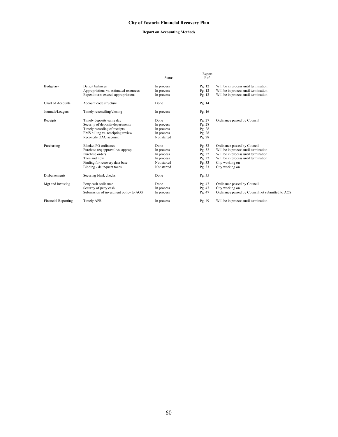### **Report on Accounting Methods**

|                            |                                        | <b>Status</b> | Report<br>Ref. |                                                  |
|----------------------------|----------------------------------------|---------------|----------------|--------------------------------------------------|
| Budgetary                  | Deficit balances                       | In process    | Pg. 12         | Will be in process until termination             |
|                            | Appropriations vs. estimated resources | In process    | Pg. 12         | Will be in process until termination             |
|                            | Expenditures exceed appropriations     | In process    | Pg. 12         | Will be in process until termination             |
| Chart of Accounts          | Account code structure                 | Done          | Pg. $14$       |                                                  |
| Journals/Ledgers           | Timely reconciling/closing             | In process    | Pg. $16$       |                                                  |
| Receipts                   | Timely deposits-same day               | Done          | Pg. 27         | Ordinance passed by Council                      |
|                            | Security of deposits-departments       | In process    | Pg. 28         |                                                  |
|                            | Timely recording of receipts           | In process    | Pg. 28         |                                                  |
|                            | EMS billing vs. receipting review      | In process    | Pg. 28         |                                                  |
|                            | Reconcile OAG account                  | Not started   | Pg. 28         |                                                  |
| Purchasing                 | Blanket PO ordinance                   | Done          | Pg. 32         | Ordinance passed by Council                      |
|                            | Purchase req approval vs. approp       | In process    | Pg. 32         | Will be in process until termination             |
|                            | Purchase orders                        | In process    | Pg. 32         | Will be in process until termination             |
|                            | Then and now                           | In process    | Pg. $32$       | Will be in process until termination             |
|                            | Finding for recovery data base         | Not started   | Pg. 33         | City working on                                  |
|                            | Bidding - delinquent taxes             | Not started   | Pg. 33         | City working on                                  |
| <b>Disbursements</b>       | Securing blank checks                  | Done          | Pg. 35         |                                                  |
| Mgt and Investing          | Petty cash ordinance                   | Done          | Pg. 47         | Ordinance passed by Council                      |
|                            | Security of petty cash                 | In process    | Pg. 47         | City working on                                  |
|                            | Submission of investment policy to AOS | In process    | Pg. 47         | Ordinance passed by Council not submitted to AOS |
| <b>Financial Reporting</b> | Timely AFR                             | In process    | Pg. 49         | Will be in process until termination             |
|                            |                                        |               |                |                                                  |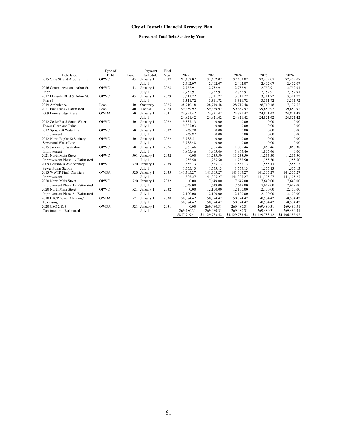# **Forecasted Total Debt Service by Year**

|                                 | Type of     |      | Payment       | Final |              |                |                |                |                |
|---------------------------------|-------------|------|---------------|-------|--------------|----------------|----------------|----------------|----------------|
| Debt Issue                      | Debt        | Fund | Schedule      | Year  | 2022         | 2023           | 2024           | 2025           | 2026           |
| 2015 Vine St. and Arbor St Impr | <b>OPWC</b> | 431  | January 1     | 2027  | \$2,402.07   | \$2,402.07     | \$2,402.07     | \$2,402.07     | \$2,402.07     |
|                                 |             |      | July 1        |       | 2,402.07     | 2,402.07       | 2,402.07       | 2,402.07       | 2,402.07       |
| 2016 Central Ave. and Arbor St. | OPWC        | 431  | January 1     | 2028  | 2,752.91     | 2,752.91       | 2,752.91       | 2,752.91       | 2,752.91       |
| Impr                            |             |      | July 1        |       | 2,752.91     | 2,752.91       | 2,752.91       | 2,752.91       | 2,752.91       |
| 2017 Ebersole Blvd & Arbor St.  | OPWC        |      | 431 January 1 | 2029  | 3.311.72     | 3.311.72       | 3.311.72       | 3.311.72       | 3.311.72       |
| Phase 3                         |             |      | July 1        |       | 3,311.72     | 3,311.72       | 3,311.72       | 3,311.72       | 3,311.72       |
| 2019 Ambulance                  | Loan        | 401  | Quarterly     | 2025  | 28,710.48    | 28,710.48      | 28,710.48      | 28,710.48      | 7,177.62       |
| 2021 Fire Truck - Estimated     | Loan        | 401  | Annual        | 2028  | 59,859.92    | 59,859.92      | 59,859.92      | 59,859.92      | 59,859.92      |
| 2009 Lime Sludge Press          | <b>OWDA</b> | 501  | January 1     | 2031  | 24,821.42    | 24,821.42      | 24,821.42      | 24,821.42      | 24,821.42      |
|                                 |             |      | July 1        |       | 24,821.42    | 24,821.42      | 24,821.42      | 24,821.42      | 24,821.42      |
| 2012 Zeller Road South Water    | <b>OPWC</b> | 501  | January 1     | 2022  | 9.837.13     | 0.00           | 0.00           | 0.00           | 0.00           |
| Tower Clean and Paint           |             |      | July 1        |       | 9,837.03     | 0.00           | 0.00           | 0.00           | 0.00           |
| 2012 Spruce St Waterline        | OPWC        | 501  | January 1     | 2022  | 749.78       | 0.00           | 0.00           | 0.00           | 0.00           |
| Improvement                     |             |      | July 1        |       | 749.87       | 0.00           | 0.00           | 0.00           | 0.00           |
| 2012 North Poplar St Sanitary   | <b>OPWC</b> | 501  | January 1     | 2022  | 3,738.51     | 0.00           | 0.00           | 0.00           | 0.00           |
| Sewer and Water Line            |             |      | July 1        |       | 3,738.48     | 0.00           | 0.00           | 0.00           | 0.00           |
| 2015 Jackson St Waterline       | OPWC        | 501  | January 1     | 2026  | 1.865.46     | 1.865.46       | 1,865.46       | 1.865.46       | 1,865.38       |
| Improvement                     |             |      | July 1        |       | 1,865.46     | 1,865.46       | 1,865.46       | 1,865.46       | 0.00           |
| 2021 North Main Street          | <b>OPWC</b> | 501  | January 1     | 2032  | 0.00         | 11,255.50      | 11,255.50      | 11,255.50      | 11,255.50      |
| Improvement Phase 1 - Estimated |             |      | July 1        |       | 11,255.50    | 11,255.50      | 11,255.50      | 11,255.50      | 11,255.50      |
| 2009 Columbus Ave Sanitary      | <b>OPWC</b> | 520  | January 1     | 2039  | 1.555.13     | 1,555.13       | 1,555.13       | 1,555.13       | 1,555.13       |
| Sewer Pump Station              |             |      | July 1        |       | 1,555.13     | 1,555.13       | 1,555.13       | 1,555.13       | 1,555.13       |
| 2013 WWTP Final Clarifiers      | <b>OWDA</b> | 520  | January 1     | 2035  | 141,305.27   | 141,305.27     | 141,305.27     | 141,305.27     | 141,305.27     |
| Improvement                     |             |      | July 1        |       | 141,305.27   | 141,305.27     | 141,305.27     | 141,305.27     | 141,305.27     |
| 2020 North Main Street          | <b>OPWC</b> | 520  | January 1     | 2032  | 0.00         | 7.649.00       | 7,649.00       | 7,649.00       | 7,649.00       |
| Improvement Phase 3 - Estimated |             |      | July 1        |       | 7,649.00     | 7,649.00       | 7,649.00       | 7,649.00       | 7,649.00       |
| 2020 North Main Street          | <b>OPWC</b> | 521  | January 1     | 2032  | 0.00         | 12,100.00      | 12,100.00      | 12,100.00      | 12,100.00      |
| Improvement Phase 2 - Estimated |             |      | July 1        |       | 12,100.00    | 12,100.00      | 12,100.00      | 12,100.00      | 12,100.00      |
| 2010 LTCP Sewer Cleaning/       | <b>OWDA</b> | 521  | January 1     | 2030  | 50,574.42    | 50,574.42      | 50,574.42      | 50,574.42      | 50,574.42      |
| Televising                      |             |      | July 1        |       | 50.574.42    | 50,574.42      | 50,574.42      | 50.574.42      | 50,574.42      |
| 2020 CSO 2 & 3                  | <b>OWDA</b> | 521  | January 1     | 2051  | 0.00         | 269,480.31     | 269,480.31     | 269,480.31     | 269,480.31     |
| Construction - Estimated        |             |      | July 1        |       | 269,480.31   | 269,480.31     | 269,480.31     | 269,480.31     | 269,480.31     |
|                                 |             |      |               |       | \$857,949.41 | \$1,129,783.42 | \$1,129,783.42 | \$1,129,783.42 | \$1,106,385.02 |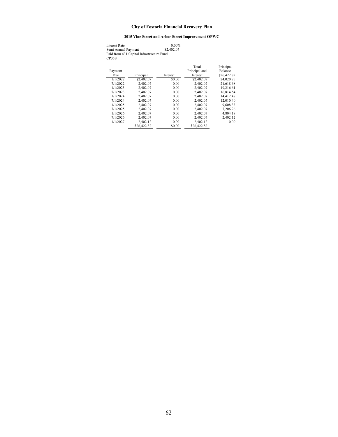# **2015 Vine Street and Arbor Street Improvement OPWC**

| <b>Interest Rate</b>                      | 0.00%      |
|-------------------------------------------|------------|
| Semi Annual Payment                       | \$2,402.07 |
| Paid from 431 Capital Infrastructure Fund |            |
| CP35S                                     |            |

| Payment  |             | Interest | Total<br>Principal and<br><b>Interest</b> | Principal<br>Balance |
|----------|-------------|----------|-------------------------------------------|----------------------|
| Due      | Principal   |          |                                           | \$26,422.82          |
| 1/1/2022 | \$2,402.07  | \$0.00   | \$2,402.07                                | 24,020.75            |
| 7/1/2022 | 2.402.07    | 0.00     | 2,402.07                                  | 21,618.68            |
| 1/1/2023 | 2.402.07    | 0.00     | 2.402.07                                  | 19.216.61            |
| 7/1/2023 | 2.402.07    | 0.00     | 2,402.07                                  | 16.814.54            |
| 1/1/2024 | 2.402.07    | 0.00     | 2,402.07                                  | 14,412.47            |
| 7/1/2024 | 2.402.07    | 0.00     | 2,402.07                                  | 12,010.40            |
| 1/1/2025 | 2.402.07    | 0.00     | 2.402.07                                  | 9.608.33             |
| 7/1/2025 | 2.402.07    | 0.00     | 2,402.07                                  | 7,206.26             |
| 1/1/2026 | 2.402.07    | 0.00     | 2,402.07                                  | 4,804.19             |
| 7/1/2026 | 2,402.07    | 0.00     | 2,402.07                                  | 2,402.12             |
| 1/1/2027 | 2.402.12    | 0.00     | 2.402.12                                  | 0.00                 |
|          | \$26,422.82 | \$0.00   | \$26,422.82                               |                      |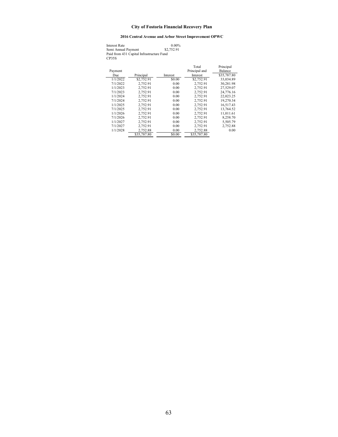### **2016 Central Avenue and Arbor Street Improvement OPWC**

| Interest Rate                                      | 0.00%      |
|----------------------------------------------------|------------|
| Semi Annual Payment                                | \$2,752.91 |
| Paid from 431 Capital Infrastructure Fund<br>CP35S |            |

| Payment<br>Due | Principal   | Interest | Total<br>Principal and<br>Interest | Principal<br><b>Balance</b><br>\$35,787.80 |
|----------------|-------------|----------|------------------------------------|--------------------------------------------|
| 1/1/2022       | \$2,752.91  | \$0.00   | \$2,752.91                         | 33,034.89                                  |
| 7/1/2022       | 2.752.91    | 0.00     | 2.752.91                           | 30.281.98                                  |
| 1/1/2023       | 2.752.91    | 0.00     | 2.752.91                           | 27.529.07                                  |
| 7/1/2023       | 2.752.91    | 0.00     | 2.752.91                           | 24,776.16                                  |
| 1/1/2024       | 2.752.91    | 0.00     | 2.752.91                           | 22,023.25                                  |
| 7/1/2024       | 2.752.91    | 0.00     | 2,752.91                           | 19,270.34                                  |
| 1/1/2025       | 2.752.91    | 0.00     | 2.752.91                           | 16.517.43                                  |
| 7/1/2025       | 2.752.91    | 0.00     | 2.752.91                           | 13.764.52                                  |
| 1/1/2026       | 2.752.91    | 0.00     | 2.752.91                           | 11,011.61                                  |
| 7/1/2026       | 2,752.91    | 0.00     | 2,752.91                           | 8,258.70                                   |
| 1/1/2027       | 2.752.91    | 0.00     | 2.752.91                           | 5.505.79                                   |
| 7/1/2027       | 2.752.91    | 0.00     | 2.752.91                           | 2,752.88                                   |
| 1/1/2028       | 2.752.88    | 0.00     | 2.752.88                           | 0.00                                       |
|                | \$35,787.80 | \$0.00   | \$35,787.80                        |                                            |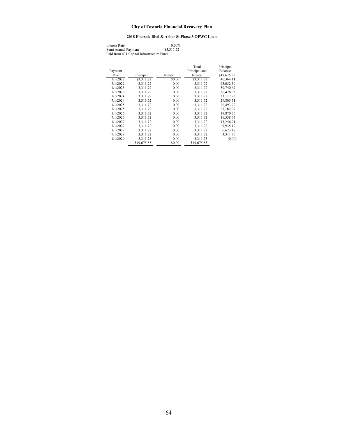### **2018 Ebersole Blvd & Arbor St Phase 3 OPWC Loan**

| <b>Interest Rate</b>                      | $0.00\%$   |
|-------------------------------------------|------------|
| Semi Annual Payment                       | \$3,311.72 |
| Paid from 431 Capital Infrastructure Fund |            |

| Payment  |             |          | Total<br>Principal and | Principal<br>Balance |
|----------|-------------|----------|------------------------|----------------------|
| Due      | Principal   | Interest | Interest               | \$49,675.83          |
| 1/1/2022 | \$3,311.72  | \$0.00   | \$3,311.72             | 46,364.11            |
| 7/1/2022 | 3.311.72    | 0.00     | 3.311.72               | 43,052.39            |
| 1/1/2023 | 3.311.72    | 0.00     | 3.311.72               | 39,740.67            |
| 7/1/2023 | 3.311.72    | 0.00     | 3.311.72               | 36,428.95            |
| 1/1/2024 | 3.311.72    | 0.00     | 3.311.72               | 33.117.23            |
| 7/1/2024 | 3,311.72    | 0.00     | 3,311.72               | 29,805.51            |
| 1/1/2025 | 3.311.72    | 0.00     | 3.311.72               | 26,493.79            |
| 7/1/2025 | 3,311.72    | 0.00     | 3,311.72               | 23,182.07            |
| 1/1/2026 | 3.311.72    | 0.00     | 3.311.72               | 19,870.35            |
| 7/1/2026 | 3.311.72    | 0.00     | 3.311.72               | 16,558.63            |
| 1/1/2027 | 3.311.72    | 0.00     | 3.311.72               | 13,246.91            |
| 7/1/2027 | 3,311.72    | 0.00     | 3,311.72               | 9,935.19             |
| 1/1/2028 | 3.311.72    | 0.00     | 3.311.72               | 6,623.47             |
| 7/1/2028 | 3.311.72    | 0.00     | 3,311.72               | 3.311.75             |
| 1/1/2029 | 3,311.75    | 0.00     | 3.311.75               | (0.00)               |
|          | \$49,675.83 | \$0.00   | \$49,675.83            |                      |
|          |             |          |                        |                      |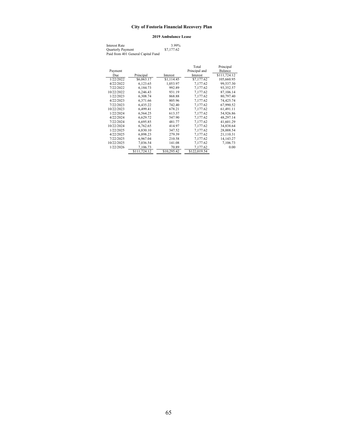#### **2019 Ambulance Lease**

| Interest Rate                      | 3.99%      |
|------------------------------------|------------|
| <b>Quarterly Payment</b>           | \$7,177.62 |
| Paid from 401 General Capital Fund |            |

|            |              |             | Total         | Principal      |
|------------|--------------|-------------|---------------|----------------|
| Payment    |              |             | Principal and | <b>Balance</b> |
| Due        | Principal    | Interest    | Interest      | \$111,724.12   |
| 1/22/2022  | \$6,063.17   | \$1,114.45  | \$7,177.62    | 105,660.95     |
| 4/22/2022  | 6,123.65     | 1,053.97    | 7,177.62      | 99,537.30      |
| 7/22/2022  | 6,184.73     | 992.89      | 7,177.62      | 93,352.57      |
| 10/22/2022 | 6,246.43     | 931.19      | 7,177.62      | 87,106.14      |
| 1/22/2023  | 6.308.74     | 868.88      | 7.177.62      | 80,797.40      |
| 4/22/2023  | 6,371.66     | 805.96      | 7,177.62      | 74,425.74      |
| 7/22/2023  | 6,435.22     | 742.40      | 7.177.62      | 67,990.52      |
| 10/22/2023 | 6,499.41     | 678.21      | 7,177.62      | 61,491.11      |
| 1/22/2024  | 6,564.25     | 613.37      | 7,177.62      | 54,926.86      |
| 4/22/2024  | 6,629.72     | 547.90      | 7,177.62      | 48,297.14      |
| 7/22/2024  | 6.695.85     | 481.77      | 7.177.62      | 41,601.29      |
| 10/22/2024 | 6,762.65     | 414.97      | 7,177.62      | 34,838.64      |
| 1/22/2025  | 6,830.10     | 347.52      | 7,177.62      | 28,008.54      |
| 4/22/2025  | 6,898.23     | 279.39      | 7,177.62      | 21,110.31      |
| 7/22/2025  | 6,967.04     | 210.58      | 7,177.62      | 14,143.27      |
| 10/22/2025 | 7,036.54     | 141.08      | 7,177.62      | 7,106.73       |
| 1/22/2026  | 7.106.73     | 70.89       | 7,177.62      | 0.00           |
|            | \$111,724.12 | \$10,295.42 | \$122,019.54  |                |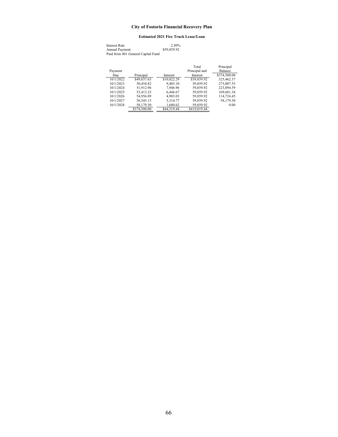#### **Estimated 2021 Fire Truck Lease/Loan**

| Interest Rate                      | 2.89%       |
|------------------------------------|-------------|
| Annual Payment                     | \$59,859.92 |
| Paid from 401 General Capital Fund |             |

|           |              |             | Total           | Principal      |
|-----------|--------------|-------------|-----------------|----------------|
| Payment   |              |             | Principal and   | <b>Balance</b> |
| Due       | Principal    | Interest    | <b>Interest</b> | \$374,500.00   |
| 10/1/2022 | \$49,037.63  | \$10,822.29 | \$59,859.92     | 325,462.37     |
| 10/1/2023 | 50,454.82    | 9,405.10    | 59,859.92       | 275,007.55     |
| 10/1/2024 | 51.912.96    | 7.946.96    | 59.859.92       | 223,094.59     |
| 10/1/2025 | 53.413.25    | 6,446.67    | 59,859.92       | 169,681.34     |
| 10/1/2026 | 54,956.89    | 4,903.03    | 59.859.92       | 114,724.45     |
| 10/1/2027 | 56,545.15    | 3.314.77    | 59,859.92       | 58,179.30      |
| 10/1/2028 | 58,179.30    | 1,680.62    | 59,859.92       | 0.00           |
|           | \$374,500.00 | \$44,519.44 | \$419,019.44    |                |
|           |              |             |                 |                |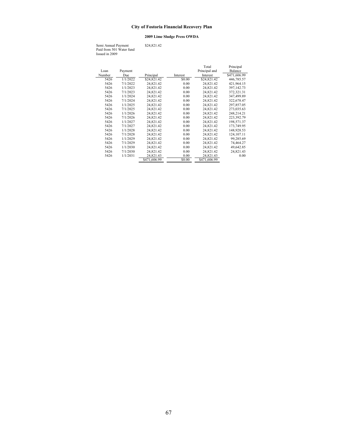### **2009 Lime Sludge Press OWDA**

Semi Annual Payment \$24,821.42 Paid from 501 Water fund Issued in 2009

|        |          |              |          | Total         | Principal    |
|--------|----------|--------------|----------|---------------|--------------|
| Loan   | Payment  |              |          | Principal and | Balance      |
| Number | Due      | Principal    | Interest | Interest      | \$471,606.99 |
| 5426   | 1/1/2022 | \$24,821.42  | \$0.00   | \$24,821.42   | 446,785.57   |
| 5426   | 7/1/2022 | 24,821.42    | 0.00     | 24,821.42     | 421,964.15   |
| 5426   | 1/1/2023 | 24,821.42    | 0.00     | 24,821.42     | 397.142.73   |
| 5426   | 7/1/2023 | 24,821.42    | 0.00     | 24,821.42     | 372,321.31   |
| 5426   | 1/1/2024 | 24,821.42    | 0.00     | 24,821.42     | 347,499.89   |
| 5426   | 7/1/2024 | 24,821.42    | 0.00     | 24,821.42     | 322,678.47   |
| 5426   | 1/1/2025 | 24,821.42    | 0.00     | 24,821.42     | 297,857.05   |
| 5426   | 7/1/2025 | 24,821.42    | 0.00     | 24,821.42     | 273,035.63   |
| 5426   | 1/1/2026 | 24,821.42    | 0.00     | 24,821.42     | 248.214.21   |
| 5426   | 7/1/2026 | 24,821.42    | 0.00     | 24,821.42     | 223,392.79   |
| 5426   | 1/1/2027 | 24,821.42    | 0.00     | 24,821.42     | 198,571.37   |
| 5426   | 7/1/2027 | 24,821.42    | 0.00     | 24,821.42     | 173,749.95   |
| 5426   | 1/1/2028 | 24,821.42    | 0.00     | 24,821.42     | 148,928.53   |
| 5426   | 7/1/2028 | 24,821.42    | 0.00     | 24,821.42     | 124, 107. 11 |
| 5426   | 1/1/2029 | 24,821.42    | 0.00     | 24,821.42     | 99,285.69    |
| 5426   | 7/1/2029 | 24,821.42    | 0.00     | 24,821.42     | 74,464.27    |
| 5426   | 1/1/2030 | 24,821.42    | 0.00     | 24,821.42     | 49,642.85    |
| 5426   | 7/1/2030 | 24,821.42    | 0.00     | 24,821.42     | 24,821.43    |
| 5426   | 1/1/2031 | 24,821.43    | 0.00     | 24,821.43     | 0.00         |
|        |          | \$471,606.99 | \$0.00   | \$471,606.99  |              |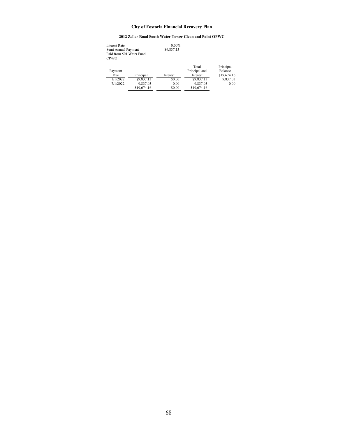### **2012 Zeller Road South Water Tower Clean and Paint OPWC**

| Principal   |
|-------------|
| Balance     |
| \$19,674.16 |
| 9,837.03    |
| 0.00        |
|             |
|             |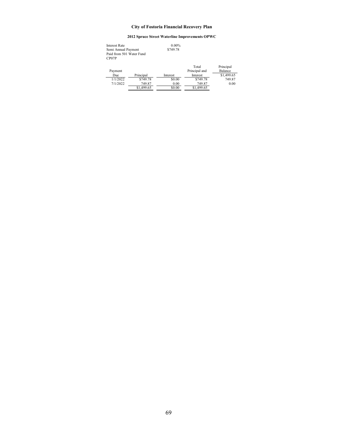# **2012 Spruce Street Waterline Improvements OPWC**

| Interest Rate            |            | $0.00\%$ |               |            |
|--------------------------|------------|----------|---------------|------------|
| Semi Annual Payment      |            | \$749.78 |               |            |
| Paid from 501 Water Fund |            |          |               |            |
| CP07P                    |            |          |               |            |
|                          |            |          |               |            |
|                          |            |          | Total         | Principal  |
| Payment                  |            |          | Principal and | Balance    |
| Due                      | Principal  | Interest | Interest      | \$1,499.65 |
| 1/1/2022                 | \$749.78   | \$0.00   | \$749.78      | 749.87     |
| 7/1/2022                 | 749.87     | 0.00     | 749.87        | 0.00       |
|                          | \$1,499.65 | \$0.00   | \$1,499.65    |            |
|                          |            |          |               |            |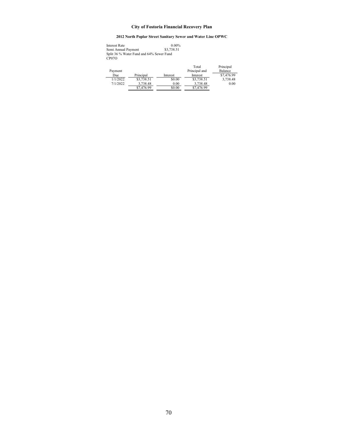# **2012 North Poplar Street Sanitary Sewer and Water Line OPWC**

| <b>Interest Rate</b>                     | $0.00\%$   |  |  |  |
|------------------------------------------|------------|--|--|--|
| Semi Annual Payment                      | \$3,738.51 |  |  |  |
| Split 36 % Water Fund and 64% Sewer Fund |            |  |  |  |
| CP07O                                    |            |  |  |  |

|          |            |          | Total         | Principal  |
|----------|------------|----------|---------------|------------|
| Payment  |            |          | Principal and | Balance    |
| Due      | Principal  | Interest | Interest      | \$7,476.99 |
| 1/1/2022 | \$3,738.51 | \$0.00   | \$3,738.51    | 3.738.48   |
| 7/1/2022 | 3.738.48   | 0.00     | 3.738.48      | 0.00       |
|          | \$7,476.99 | \$0.00   | \$7,476.99    |            |
|          |            |          |               |            |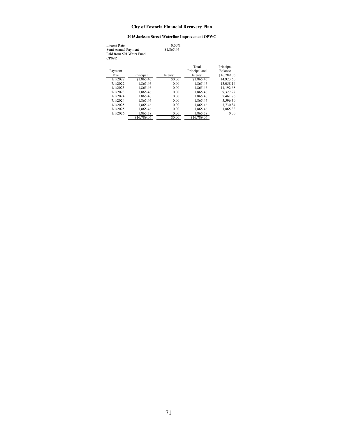# **2015 Jackson Street Waterline Improvement OPWC**

Interest Rate 0.00%<br>
Semi Annual Payment \$1,865.46<br>
Paid from 501 Water Fund<br>
CP09R

| Payment  |             |          | Total<br>Principal and | Principal<br>Balance |
|----------|-------------|----------|------------------------|----------------------|
| Due      | Principal   | Interest | <b>Interest</b>        | \$16,789.06          |
| 1/1/2022 | \$1,865.46  | \$0.00   | \$1,865.46             | 14,923.60            |
| 7/1/2022 | 1.865.46    | 0.00     | 1.865.46               | 13,058.14            |
| 1/1/2023 | 1.865.46    | 0.00     | 1.865.46               | 11,192.68            |
| 7/1/2023 | 1.865.46    | 0.00     | 1.865.46               | 9.327.22             |
| 1/1/2024 | 1.865.46    | 0.00     | 1.865.46               | 7.461.76             |
| 7/1/2024 | 1.865.46    | 0.00     | 1.865.46               | 5.596.30             |
| 1/1/2025 | 1.865.46    | 0.00     | 1.865.46               | 3.730.84             |
| 7/1/2025 | 1.865.46    | 0.00     | 1.865.46               | 1,865.38             |
| 1/1/2026 | 1.865.38    | 0.00     | 1.865.38               | 0.00                 |
|          | \$16,789.06 | \$0.00   | \$16,789.06            |                      |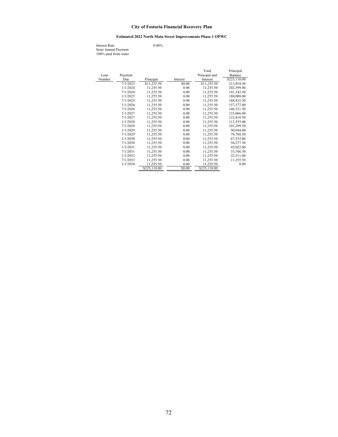# **Estimated 2022 North Main Street Improvements Phase 1 OPWC**

Interest Rate 0.00% Semi Annual Payment 100% paid from water

|        |          |              |          | Total         | Principal    |
|--------|----------|--------------|----------|---------------|--------------|
| Loan   | Payment  |              |          | Principal and | Balance      |
| Number | Due      | Principal    | Interest | Interest      | \$225,110.00 |
|        | 7/1/2023 | \$11,255.50  | \$0.00   | \$11,255.50   | 213,854.50   |
|        | 1/1/2024 | 11.255.50    | 0.00     | 11,255.50     | 202,599.00   |
|        | 7/1/2024 | 11,255.50    | 0.00     | 11,255.50     | 191,343.50   |
|        | 1/1/2025 | 11,255.50    | 0.00     | 11,255.50     | 180,088.00   |
|        | 7/1/2025 | 11,255.50    | 0.00     | 11,255.50     | 168,832.50   |
|        | 1/1/2026 | 11.255.50    | 0.00     | 11.255.50     | 157,577.00   |
|        | 7/1/2026 | 11,255.50    | 0.00     | 11,255.50     | 146,321.50   |
|        | 1/1/2027 | 11,255.50    | 0.00     | 11,255.50     | 135,066.00   |
|        | 7/1/2027 | 11,255.50    | 0.00     | 11,255.50     | 123,810.50   |
|        | 1/1/2028 | 11,255.50    | 0.00     | 11,255.50     | 112,555.00   |
|        | 7/1/2028 | 11,255.50    | 0.00     | 11,255.50     | 101,299.50   |
|        | 1/1/2029 | 11,255.50    | 0.00     | 11,255.50     | 90,044.00    |
|        | 7/1/2029 | 11,255.50    | 0.00     | 11,255.50     | 78,788.50    |
|        | 1/1/2030 | 11.255.50    | 0.00     | 11.255.50     | 67,533.00    |
|        | 7/1/2030 | 11,255.50    | 0.00     | 11,255.50     | 56,277.50    |
|        | 1/1/2031 | 11,255.50    | 0.00     | 11,255.50     | 45,022.00    |
|        | 7/1/2031 | 11,255.50    | 0.00     | 11,255.50     | 33,766.50    |
|        | 1/1/2032 | 11,255.50    | 0.00     | 11,255.50     | 22,511.00    |
|        | 7/1/2033 | 11,255.50    | 0.00     | 11,255.50     | 11,255.50    |
|        | 1/1/2034 | 11,255.50    | 0.00     | 11,255.50     | 0.00         |
|        |          | \$225,110.00 | \$0.00   | \$225,110.00  |              |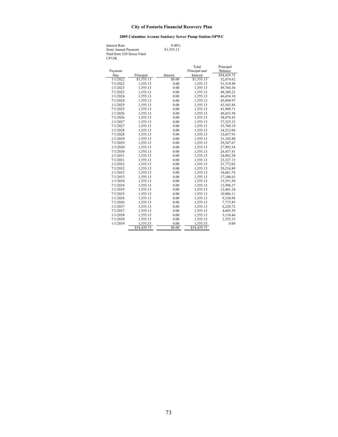# **2009 Columbus Avenue Sanitary Sewer Pump Station OPWC**

Interest Rate 0.00%<br>
Semi Annual Payment \$1,555.13<br>
Paid from 520 Sewer Fund<br>
CP15K

|          |             |          | Total         | Principal      |
|----------|-------------|----------|---------------|----------------|
| Payment  |             |          | Principal and | <b>Balance</b> |
| Due      | Principal   | Interest | Interest      | \$54,429.75    |
| 1/1/2022 | \$1,555.13  | \$0.00   | \$1,555.13    | 52,874.62      |
| 7/1/2022 | 1,555.13    | 0.00     | 1,555.13      | 51,319.49      |
| 1/1/2023 | 1,555.13    | 0.00     | 1,555.13      | 49,764.36      |
| 7/1/2023 | 1,555.13    | 0.00     | 1,555.13      | 48,209.23      |
| 1/1/2024 | 1,555.13    | 0.00     | 1,555.13      | 46.654.10      |
| 7/1/2024 | 1,555.13    | 0.00     | 1,555.13      | 45,098.97      |
| 1/1/2025 | 1.555.13    | 0.00     | 1.555.13      | 43.543.84      |
| 7/1/2025 | 1,555.13    | 0.00     | 1,555.13      | 41,988.71      |
| 1/1/2026 | 1,555.13    | 0.00     | 1,555.13      | 40,433.58      |
| 7/1/2026 | 1,555.13    | 0.00     | 1,555.13      | 38,878.45      |
| 1/1/2027 | 1,555.13    | 0.00     | 1,555.13      | 37,323.32      |
| 7/1/2027 | 1,555.13    | 0.00     | 1,555.13      | 35,768.19      |
| 1/1/2028 | 1,555.13    | 0.00     | 1,555.13      | 34,213.06      |
| 7/1/2028 | 1,555.13    | 0.00     | 1,555.13      | 32,657.93      |
| 1/1/2029 | 1,555.13    | 0.00     | 1,555.13      | 31,102.80      |
| 7/1/2029 | 1,555.13    | 0.00     | 1,555.13      | 29,547.67      |
| 1/1/2030 | 1,555.13    | 0.00     | 1,555.13      | 27,992.54      |
| 7/1/2030 | 1,555.13    | 0.00     | 1,555.13      | 26,437.41      |
| 1/1/2031 | 1,555.13    | 0.00     | 1,555.13      | 24,882.28      |
| 7/1/2031 | 1,555.13    | 0.00     | 1,555.13      | 23,327.15      |
| 1/1/2032 | 1,555.13    | 0.00     | 1,555.13      | 21,772.02      |
| 7/1/2032 | 1,555.13    | 0.00     | 1,555.13      | 20,216.89      |
| 1/1/2033 | 1,555.13    | 0.00     | 1,555.13      | 18,661.76      |
| 7/1/2033 | 1,555.13    | 0.00     | 1,555.13      | 17,106.63      |
| 1/1/2034 | 1,555.13    | 0.00     | 1,555.13      | 15,551.50      |
| 7/1/2034 | 1,555.13    | 0.00     | 1,555.13      | 13,996.37      |
| 1/1/2035 | 1,555.13    | 0.00     | 1,555.13      | 12,441.24      |
| 7/1/2035 | 1,555.13    | 0.00     | 1,555.13      | 10,886.11      |
| 1/1/2036 | 1,555.13    | 0.00     | 1,555.13      | 9,330.98       |
| 7/1/2036 | 1,555.13    | 0.00     | 1,555.13      | 7,775.85       |
| 1/1/2037 | 1,555.13    | 0.00     | 1,555.13      | 6,220.72       |
| 7/1/2037 | 1,555.13    | 0.00     | 1,555.13      | 4,665.59       |
| 1/1/2038 | 1,555.13    | 0.00     | 1,555.13      | 3,110.46       |
| 7/1/2038 | 1,555.13    | 0.00     | 1,555.13      | 1,555.33       |
| 1/1/2039 | 1,555.33    | 0.00     | 1,555.33      | 0.00           |
|          | \$54,429.75 | \$0.00   | \$54,429.75   |                |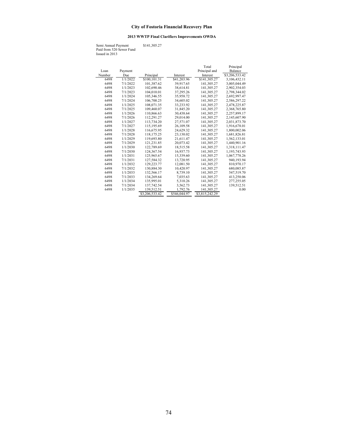# **2013 WWTP Final Clarifiers Improvements OWDA**

Semi Annual Payment \$141,305.27 Paid from 520 Sewer Fund Issued in 2013

|        |          |                |              | Total          | Principal      |
|--------|----------|----------------|--------------|----------------|----------------|
| Loan   | Payment  |                |              | Principal and  | Balance        |
| Number | Due      | Principal      | Interest     | Interest       | \$3,206,533.42 |
| 6498   | 1/1/2022 | \$100, 101.31  | \$41,203.96  | \$141,305.27   | 3,106,432.11   |
| 6498   | 7/1/2022 | 101.387.62     | 39,917.65    | 141,305.27     | 3,005,044.49   |
| 6498   | 1/1/2023 | 102,690.46     | 38,614.81    | 141,305.27     | 2,902,354.03   |
| 6498   | 7/1/2023 | 104,010.01     | 37,295.26    | 141,305.27     | 2,798,344.02   |
| 6498   | 1/1/2024 | 105.346.55     | 35,958.72    | 141,305.27     | 2,692,997.47   |
| 6498   | 7/1/2024 | 106,700.25     | 34,605.02    | 141,305.27     | 2,586,297.22   |
| 6498   | 1/1/2025 | 108,071.35     | 33,233.92    | 141,305.27     | 2,478,225.87   |
| 6498   | 7/1/2025 | 109,460.07     | 31,845.20    | 141,305.27     | 2,368,765.80   |
| 6498   | 1/1/2026 | 110,866.63     | 30.438.64    | 141,305.27     | 2,257,899.17   |
| 6498   | 7/1/2026 | 112,291.27     | 29,014.00    | 141,305.27     | 2,145,607.90   |
| 6498   | 1/1/2027 | 113,734.20     | 27,571.07    | 141,305.27     | 2,031,873.70   |
| 6498   | 7/1/2027 | 115,195.69     | 26,109.58    | 141,305.27     | 1,916,678.01   |
| 6498   | 1/1/2028 | 116,675.95     | 24,629.32    | 141,305.27     | 1,800,002.06   |
| 6498   | 7/1/2028 | 118,175.25     | 23,130.02    | 141,305.27     | 1,681,826.81   |
| 6498   | 1/1/2029 | 119,693.80     | 21,611.47    | 141,305.27     | 1,562,133.01   |
| 6498   | 7/1/2029 | 121,231.85     | 20,073.42    | 141,305.27     | 1,440,901.16   |
| 6498   | 1/1/2030 | 122,789.69     | 18,515.58    | 141,305.27     | 1,318,111.47   |
| 6498   | 7/1/2030 | 124,367.54     | 16,937.73    | 141,305.27     | 1,193,743.93   |
| 6498   | 1/1/2031 | 125,965.67     | 15,339.60    | 141,305.27     | 1,067,778.26   |
| 6498   | 7/1/2031 | 127,584.32     | 13,720.95    | 141,305.27     | 940,193.94     |
| 6498   | 1/1/2032 | 129,223.77     | 12,081.50    | 141,305.27     | 810,970.17     |
| 6498   | 7/1/2032 | 130,884.30     | 10,420.97    | 141,305.27     | 680,085.87     |
| 6498   | 1/1/2033 | 132,566.17     | 8,739.10     | 141,305.27     | 547,519.70     |
| 6498   | 7/1/2033 | 134,269.64     | 7,035.63     | 141,305.27     | 413,250.06     |
| 6498   | 1/1/2034 | 135,995.01     | 5,310.26     | 141,305.27     | 277,255.05     |
| 6498   | 7/1/2034 | 137,742.54     | 3,562.73     | 141,305.27     | 139,512.51     |
| 6498   | 1/1/2035 | 139,512.51     | 1,792.76     | 141,305.27     | 0.00           |
|        |          | \$3,206,533.42 | \$546,044.97 | \$3,815,242.29 |                |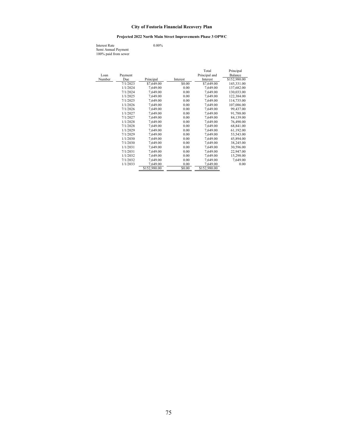#### **Projected 2022 North Main Street Improvements Phase 3 OPWC**

Interest Rate 0.00% Semi Annual Payment 100% paid from sewer

Total Principal Loan Payment<br>
<u>Number Due</u><br>  $\frac{1}{7/1/2023}$  Principal Interest<br>  $\frac{1}{57,649.00}$  Enterest<br>  $\frac{1}{57,649.00}$  Balancest<br>  $\frac{1}{57,649.00}$ Number Due Principal Interest Interest \$152,980.00<br>  $\frac{\text{Number}}{7/1/2023}$   $\frac{\text{Principal}}{\$7,649.00}$   $\frac{\text{Interest}}{\$7,649.00}$   $\frac{\$152,980.00}{145,331.00}$  $1/1/2024$  7,649.00  $0.00$  7,649.00 137,682.00<br> $7/1/2024$  7,649.00 0.00 7,649.00 137,682.00 7/1/2024 7,649.00 0.00 7,649.00 130,033.00<br>1/1/2025 7,649.00 0.00 7,649.00 122,384.00 1/1/2025 7,649.00 0.00 7,649.00 122,384.00<br>
7/1/2025 7,649.00 0.00 7,649.00 114,735.00 7/1/2025 7,649.00 0.00 7,649.00 114,735.00<br>1/1/2026 7,649.00 0.00 7,649.00 107,086.00  $\begin{array}{ccccccccc} 1/1/2026 && 7,649.00 && 0.00 && 7,649.00 && 107,086.00 & & & \\ 7/1/2026 && 7,649.00 && 0.00 && 7,649.00 && 99,437.00 & & & \\ \end{array}$ 7/1/2026 7,649.00 0.00 7,649.00 99,437.00 1/1/2027 7,649.00 0.00 7,649.00 91,788.00  $\begin{array}{ccccccccc} 1/1/2027 & & 7,649.00 & & & 0.00 & & 7,649.00 & & 91,788.00 \\ 7/1/2027 & & 7,649.00 & & & 0.00 & & 7,649.00 & & 84,139.00 \\ 1/1/2028 & & 7,649.00 & & & 0.00 & & 7,649.00 & & 76,490.00 \\ 1/1/2028 & & 7,649.00 & & & 0.00 & & 7,649.00 & & 68,841.00 \\ 1/$  $\begin{array}{cccccc} 1/1/2028 & & 7,649.00 & & & 0.00 & & 7,649.00 & & 76,490.00 \\ 7/1/2028 & & 7,649.00 & & & 0.00 & & 7,649.00 & & 68,841.00 \\ 1/1/2029 & & 7,649.00 & & & 0.00 & & 7,649.00 & & & 61,192.00 \\ 7/1/2029 & & 7,649.00 & & & 0.00 & & 7,649.00 & & 53,543.00 \\ \end{$ 7/1/2028 7,649.00 0.00 7,649.00 68,841.00 1/1/2029 7,649.00 0.00 7,649.00 61,192.00 7/1/2029 7,649.00 0.00 7,649.00 53,543.00  $\frac{1}{1/2030}$   $\frac{7}{649.00}$   $\frac{0.00}{7,649.00}$   $\frac{7}{7,649.00}$   $\frac{45,894.00}{38,245.00}$ <br>  $\frac{7}{1/2030}$   $\frac{7,649.00}{7,649.00}$   $\frac{38,245.00}{38,245.00}$  $7/1/2030$   $7/649.00$   $7/649.00$   $7/649.00$   $7/649.00$   $7/649.00$   $7/649.00$   $7/649.00$  $\frac{1}{1/2031}$   $\frac{7}{1/649.00}$   $\frac{0.00}{0.00}$   $\frac{7}{1/649.00}$   $\frac{30,596.00}{22,947.00}$  $\begin{array}{cccc} 7/1/2031 & 7/649.00 & 0.00 & 7/649.00 & 22/947.00 \\ 1/1/2032 & 7/649.00 & 0.00 & 7/649.00 & 15/298.00 \end{array}$  $\begin{array}{ccccccccc} 1/1/2032 && 7,649.00 && 0.00 && 7,649.00 && 15,298.00 \\ 7/1/2032 && 7,649.00 && 0.00 && 7,649.00 && 7,649.00 \end{array}$  $\begin{array}{ccccccccc} 7/1/2032 & & 7,649.00 & & & 0.00 & & 7,649.00 & & & 7,649.00 \\ 1/1/2033 & & & & 7,649.00 & & & & 0.00 & & & 7,649.00 \\ \hline & & & & & & 8152,980.00 & & & & 8152,980.00 & & & & & 0.00 \\ \end{array}$  $\frac{1}{1/2033}$   $\frac{7,649.00}{1}$   $\frac{0.00}{1}$   $\frac{0.00}{1/2,980.00}$   $\frac{7,649.00}{1/2,980.00}$   $\frac{0.00}{1/2,980.00}$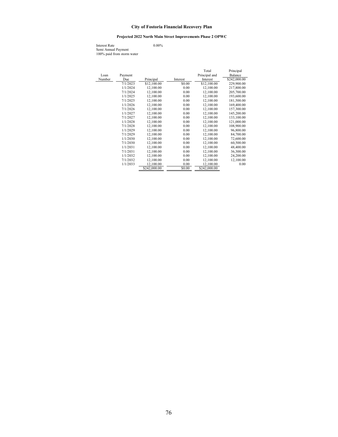# **Projected 2022 North Main Street Improvements Phase 2 OPWC**

Interest Rate 0.00% Semi Annual Payment 100% paid from storm water

|        |          |              |          | Total         | Principal    |
|--------|----------|--------------|----------|---------------|--------------|
| Loan   | Payment  |              |          | Principal and | Balance      |
| Number | Due      | Principal    | Interest | Interest      | \$242,000.00 |
|        | 7/1/2023 | \$12,100.00  | \$0.00   | \$12,100.00   | 229,900.00   |
|        | 1/1/2024 | 12,100.00    | 0.00     | 12,100.00     | 217,800.00   |
|        | 7/1/2024 | 12,100.00    | 0.00     | 12,100.00     | 205,700.00   |
|        | 1/1/2025 | 12,100.00    | 0.00     | 12,100.00     | 193,600.00   |
|        | 7/1/2025 | 12,100.00    | 0.00     | 12,100.00     | 181,500.00   |
|        | 1/1/2026 | 12.100.00    | 0.00     | 12,100.00     | 169,400.00   |
|        | 7/1/2026 | 12,100.00    | 0.00     | 12,100.00     | 157,300.00   |
|        | 1/1/2027 | 12.100.00    | 0.00     | 12,100.00     | 145,200.00   |
|        | 7/1/2027 | 12,100.00    | 0.00     | 12,100.00     | 133,100.00   |
|        | 1/1/2028 | 12,100.00    | 0.00     | 12,100.00     | 121,000.00   |
|        | 7/1/2028 | 12,100.00    | 0.00     | 12,100.00     | 108,900.00   |
|        | 1/1/2029 | 12,100.00    | 0.00     | 12,100.00     | 96,800.00    |
|        | 7/1/2029 | 12,100.00    | 0.00     | 12,100.00     | 84,700.00    |
|        | 1/1/2030 | 12,100.00    | 0.00     | 12,100.00     | 72,600.00    |
|        | 7/1/2030 | 12,100.00    | 0.00     | 12,100.00     | 60,500.00    |
|        | 1/1/2031 | 12.100.00    | 0.00     | 12,100.00     | 48,400.00    |
|        | 7/1/2031 | 12,100.00    | 0.00     | 12,100.00     | 36,300.00    |
|        | 1/1/2032 | 12.100.00    | 0.00     | 12,100.00     | 24,200.00    |
|        | 7/1/2032 | 12,100.00    | 0.00     | 12,100.00     | 12,100.00    |
|        | 1/1/2033 | 12,100.00    | 0.00     | 12,100.00     | 0.00         |
|        |          | \$242,000.00 | \$0.00   | \$242,000.00  |              |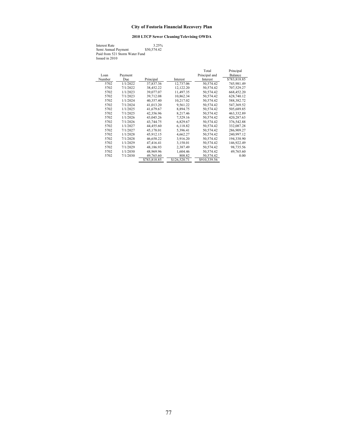# **2010 LTCP Sewer Cleaning/Televising OWDA**

Interest Rate 3.25% Semi Annual Payment \$50,574.42 Paid from 521 Storm Water Fund Issued in 2010

|        |          |              |              | Total         | Principal    |
|--------|----------|--------------|--------------|---------------|--------------|
| Loan   | Payment  |              |              | Principal and | Balance      |
| Number | Due      | Principal    | Interest     | Interest      | \$783,818.85 |
| 5702   | 1/1/2022 | 37,837.36    | 12,737.06    | 50,574.42     | 745,981.49   |
| 5702   | 7/1/2022 | 38,452.22    | 12.122.20    | 50,574.42     | 707,529.27   |
| 5702   | 1/1/2023 | 39,077.07    | 11,497.35    | 50,574.42     | 668,452.20   |
| 5702   | 7/1/2023 | 39,712.08    | 10,862.34    | 50,574.42     | 628,740.12   |
| 5702   | 1/1/2024 | 40,357.40    | 10,217.02    | 50,574.42     | 588,382.72   |
| 5702   | 7/1/2024 | 41.013.20    | 9.561.22     | 50,574.42     | 547,369.52   |
| 5702   | 1/1/2025 | 41,679.67    | 8,894.75     | 50,574.42     | 505,689.85   |
| 5702   | 7/1/2025 | 42,356.96    | 8,217.46     | 50,574.42     | 463,332.89   |
| 5702   | 1/1/2026 | 43,045.26    | 7,529.16     | 50,574.42     | 420,287.63   |
| 5702   | 7/1/2026 | 43,744.75    | 6,829.67     | 50,574.42     | 376,542.88   |
| 5702   | 1/1/2027 | 44,455.60    | 6,118.82     | 50,574.42     | 332,087.28   |
| 5702   | 7/1/2027 | 45,178.01    | 5,396.41     | 50,574.42     | 286,909.27   |
| 5702   | 1/1/2028 | 45,912.15    | 4,662.27     | 50,574.42     | 240,997.12   |
| 5702   | 7/1/2028 | 46,658.22    | 3,916.20     | 50,574.42     | 194,338.90   |
| 5702   | 1/1/2029 | 47,416.41    | 3,158.01     | 50,574.42     | 146,922.49   |
| 5702   | 7/1/2029 | 48.186.93    | 2.387.49     | 50,574.42     | 98,735.56    |
| 5702   | 1/1/2030 | 48,969.96    | 1,604.46     | 50,574.42     | 49,765.60    |
| 5702   | 7/1/2030 | 49,765.60    | 808.82       | 50,574.42     | 0.00         |
|        |          | \$783,818.85 | \$126,520.71 | \$910,339.56  |              |